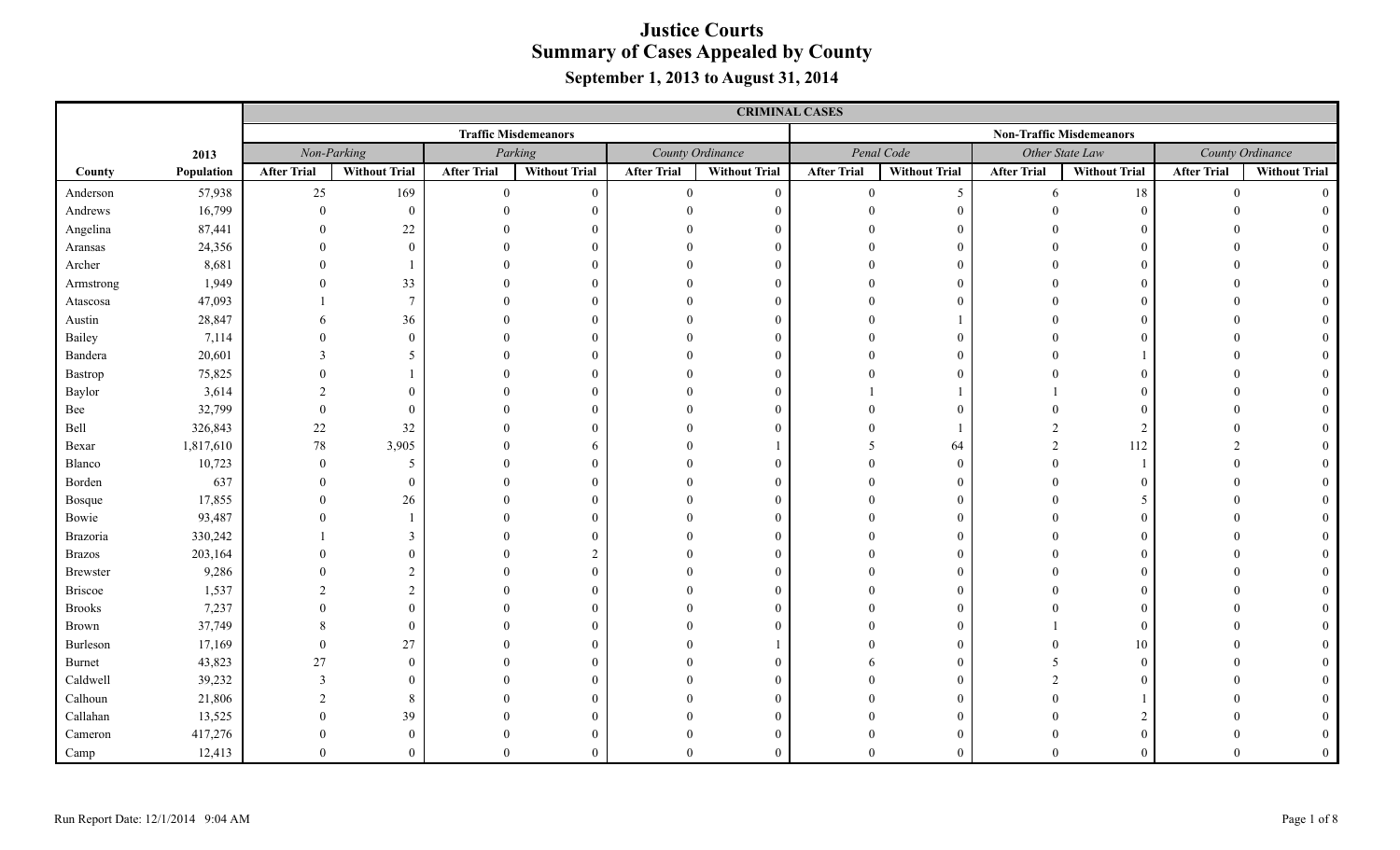|                |            |                    |                      |                    |                             |                    | <b>CRIMINAL CASES</b> |                    |                      |                    |                                 |                    |                      |
|----------------|------------|--------------------|----------------------|--------------------|-----------------------------|--------------------|-----------------------|--------------------|----------------------|--------------------|---------------------------------|--------------------|----------------------|
|                |            |                    |                      |                    | <b>Traffic Misdemeanors</b> |                    |                       |                    |                      |                    | <b>Non-Traffic Misdemeanors</b> |                    |                      |
|                | 2013       |                    | Non-Parking          |                    | Parking                     |                    | County Ordinance      |                    | Penal Code           |                    | Other State Law                 |                    | County Ordinance     |
| County         | Population | <b>After Trial</b> | <b>Without Trial</b> | <b>After Trial</b> | <b>Without Trial</b>        | <b>After Trial</b> | <b>Without Trial</b>  | <b>After Trial</b> | <b>Without Trial</b> | <b>After Trial</b> | <b>Without Trial</b>            | <b>After Trial</b> | <b>Without Trial</b> |
| Anderson       | 57,938     | 25                 | 169                  | $\theta$           | $\overline{0}$              | $\theta$           | $\mathbf{0}$          | $\theta$           | $\overline{5}$       | 6                  | 18                              | $\theta$           |                      |
| Andrews        | 16,799     |                    | $\Omega$             |                    | $\Omega$                    |                    | $\Omega$              |                    |                      |                    | $\Omega$                        |                    |                      |
| Angelina       | 87,441     |                    | $22\,$               |                    | $\Omega$                    |                    | $\overline{0}$        |                    |                      |                    |                                 |                    |                      |
| Aransas        | 24,356     |                    | $\theta$             |                    | $\Omega$                    |                    | $\overline{0}$        |                    |                      |                    |                                 |                    |                      |
| Archer         | 8,681      |                    |                      |                    | $\Omega$                    |                    | $\mathbf{0}$          |                    |                      |                    |                                 |                    |                      |
| Armstrong      | 1,949      |                    | 33                   |                    | $\Omega$                    |                    | $\mathbf{0}$          |                    |                      |                    |                                 |                    |                      |
| Atascosa       | 47,093     |                    | -7                   |                    | $\Omega$                    |                    | $\overline{0}$        |                    |                      |                    |                                 |                    |                      |
| Austin         | 28,847     |                    | 36                   |                    | $\Omega$                    |                    | $\overline{0}$        |                    |                      |                    |                                 |                    |                      |
| Bailey         | 7,114      |                    | $\overline{0}$       |                    | $\Omega$                    |                    | $\overline{0}$        |                    |                      |                    |                                 |                    |                      |
| Bandera        | 20,601     |                    | 5                    |                    | $\Omega$                    |                    | $\overline{0}$        |                    |                      |                    |                                 |                    |                      |
| Bastrop        | 75,825     |                    |                      |                    | $\Omega$                    |                    | $\overline{0}$        |                    |                      |                    |                                 |                    |                      |
| Baylor         | 3,614      |                    | $\Omega$             |                    | $\Omega$                    |                    | $\theta$              |                    |                      |                    |                                 |                    |                      |
| Bee            | 32,799     |                    | $\theta$             |                    | $\Omega$                    |                    | $\overline{0}$        |                    |                      |                    |                                 |                    |                      |
| Bell           | 326,843    | 22                 | 32                   |                    | $\Omega$                    |                    | $\theta$              |                    |                      |                    | $\overline{2}$                  |                    |                      |
| Bexar          | 1,817,610  | $78\,$             | 3,905                |                    | 6                           |                    |                       |                    | 64                   |                    | 112                             |                    |                      |
| Blanco         | 10,723     | $\Omega$           | 5                    |                    | $\Omega$                    |                    | $\overline{0}$        |                    | $\Omega$             |                    |                                 |                    |                      |
| Borden         | 637        |                    | $\overline{0}$       |                    | 0                           |                    | $\theta$              |                    | - 0                  |                    |                                 |                    |                      |
| Bosque         | 17,855     |                    | 26                   |                    | $\Omega$                    |                    | $\Omega$              |                    |                      |                    |                                 |                    |                      |
| Bowie          | 93,487     |                    |                      |                    |                             |                    | $\Omega$              |                    |                      |                    |                                 |                    |                      |
| Brazoria       | 330,242    |                    | 3                    |                    |                             |                    | $\theta$              |                    |                      |                    |                                 |                    |                      |
| <b>Brazos</b>  | 203,164    |                    | $\Omega$             |                    |                             |                    | $\theta$              |                    |                      |                    |                                 |                    |                      |
| Brewster       | 9,286      |                    |                      |                    | $\Omega$                    |                    | $\Omega$              |                    | - 0                  |                    | $\Omega$                        |                    |                      |
| <b>Briscoe</b> | 1,537      |                    | 2                    |                    | $\Omega$                    |                    | $\theta$              |                    | $\Omega$             |                    | $\Omega$                        |                    |                      |
| <b>Brooks</b>  | 7,237      |                    | $\Omega$             |                    | $\Omega$                    |                    | $\Omega$              |                    |                      |                    |                                 |                    |                      |
| Brown          | 37,749     |                    | $\Omega$             |                    | $\Omega$                    |                    | $\Omega$              |                    |                      |                    | $\Omega$                        |                    |                      |
| Burleson       | 17,169     |                    | 27                   |                    |                             |                    |                       |                    |                      |                    | 10                              |                    |                      |
| Burnet         | 43,823     | 27                 | $\Omega$             |                    |                             |                    | $\theta$              |                    |                      |                    |                                 |                    |                      |
| Caldwell       | 39,232     |                    | $\Omega$             |                    |                             |                    | $\Omega$              |                    |                      |                    |                                 |                    |                      |
| Calhoun        | 21,806     |                    | 8                    |                    |                             |                    | $\Omega$              |                    |                      |                    |                                 |                    |                      |
| Callahan       | 13,525     |                    | 39                   |                    |                             |                    | $\Omega$              |                    |                      |                    |                                 |                    |                      |
| Cameron        | 417,276    |                    | $\Omega$             |                    | 0                           |                    | $\theta$              |                    |                      |                    |                                 |                    |                      |
| Camp           | 12,413     |                    | $\Omega$             |                    | $\theta$                    |                    | $\theta$              |                    | $\Omega$             |                    | $\Omega$                        |                    |                      |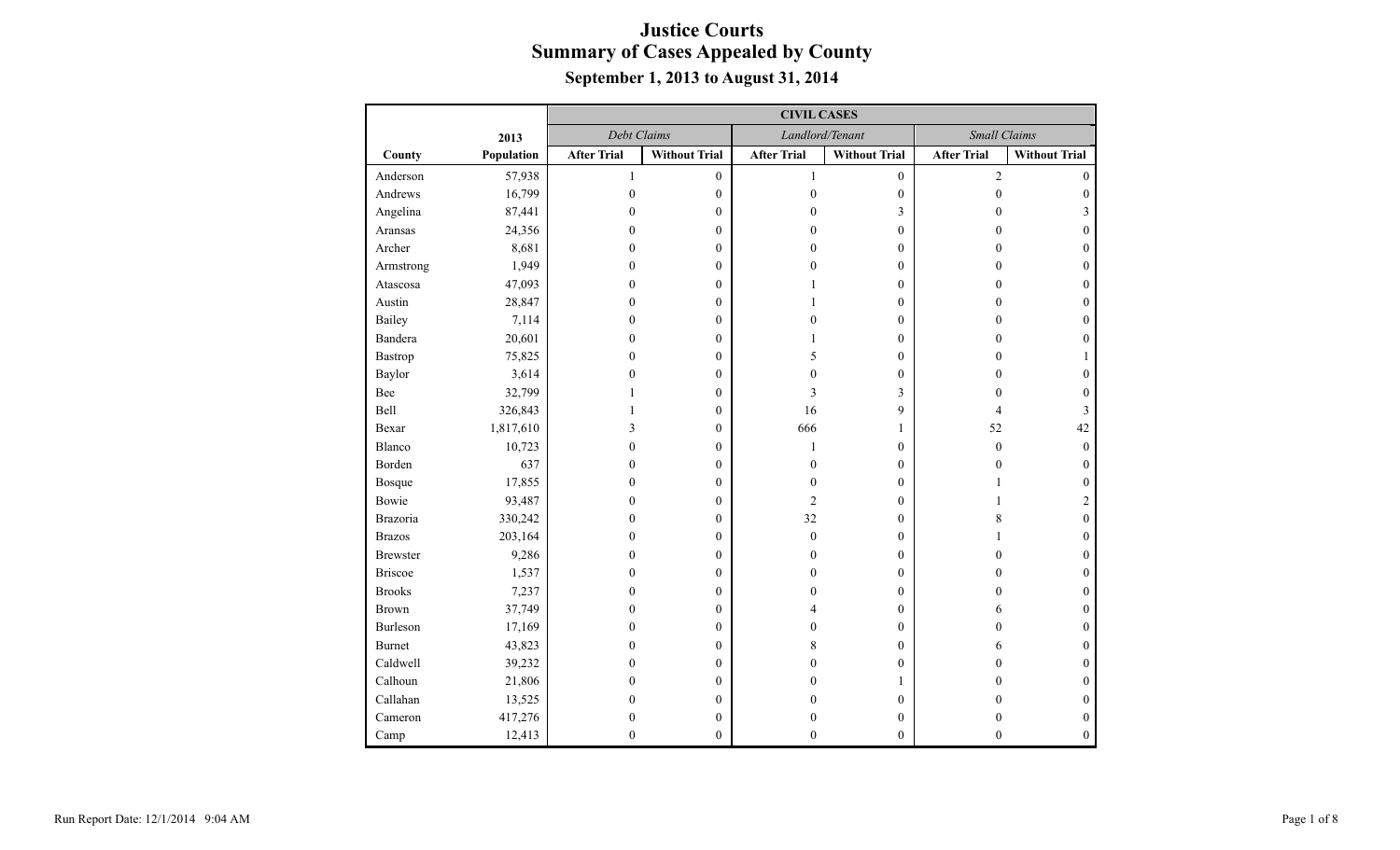|                 |            |                    |                      | <b>CIVIL CASES</b> |                      |                     |                      |
|-----------------|------------|--------------------|----------------------|--------------------|----------------------|---------------------|----------------------|
|                 | 2013       | Debt Claims        |                      | Landlord/Tenant    |                      | <b>Small Claims</b> |                      |
| County          | Population | <b>After Trial</b> | <b>Without Trial</b> | <b>After Trial</b> | <b>Without Trial</b> | <b>After Trial</b>  | <b>Without Trial</b> |
| Anderson        | 57,938     | $\mathbf{1}$       | $\overline{0}$       | $\mathbf{1}$       | $\boldsymbol{0}$     | $\overline{2}$      | $\theta$             |
| Andrews         | 16,799     | $\mathbf{0}$       | $\boldsymbol{0}$     | $\boldsymbol{0}$   | $\boldsymbol{0}$     | $\mathbf{0}$        | $\overline{0}$       |
| Angelina        | 87,441     | $\theta$           | $\boldsymbol{0}$     | $\overline{0}$     | 3                    | $\theta$            | 3                    |
| Aransas         | 24,356     | $\theta$           | $\boldsymbol{0}$     | $\mathbf{0}$       | $\mathbf{0}$         | $\mathbf{0}$        | $\overline{0}$       |
| Archer          | 8,681      | $\mathbf{0}$       | $\boldsymbol{0}$     | $\mathbf{0}$       | $\mathbf{0}$         | $\Omega$            | $\mathbf{0}$         |
| Armstrong       | 1,949      | $\theta$           | $\boldsymbol{0}$     | $\mathbf{0}$       | $\mathbf{0}$         | $\Omega$            | $\overline{0}$       |
| Atascosa        | 47,093     | $\mathbf{0}$       | $\boldsymbol{0}$     | 1                  | $\mathbf{0}$         | $\theta$            | $\overline{0}$       |
| Austin          | 28,847     | $\theta$           | $\boldsymbol{0}$     | 1                  | $\theta$             | $\Omega$            | $\overline{0}$       |
| Bailey          | 7,114      | $\theta$           | $\mathbf{0}$         | $\theta$           | $\theta$             | $\Omega$            | $\theta$             |
| Bandera         | 20,601     | $\theta$           | $\boldsymbol{0}$     | 1                  | $\mathbf{0}$         | $\theta$            | $\theta$             |
| Bastrop         | 75,825     | $\theta$           | $\mathbf{0}$         | 5                  | $\mathbf{0}$         | 0                   |                      |
| Baylor          | 3,614      | $\theta$           | $\boldsymbol{0}$     | $\boldsymbol{0}$   | $\theta$             | 0                   | $\overline{0}$       |
| Bee             | 32,799     | 1                  | $\boldsymbol{0}$     | 3                  | 3                    | $\Omega$            | $\Omega$             |
| Bell            | 326,843    |                    | $\boldsymbol{0}$     | 16                 | 9                    | 4                   | 3                    |
| Bexar           | 1,817,610  | 3                  | $\boldsymbol{0}$     | 666                | $\mathbf{1}$         | 52                  | 42                   |
| Blanco          | 10,723     | $\mathbf{0}$       | $\boldsymbol{0}$     | 1                  | $\mathbf{0}$         | $\mathbf{0}$        | $\boldsymbol{0}$     |
| Borden          | 637        | $\mathbf{0}$       | $\boldsymbol{0}$     | $\mathbf{0}$       | $\mathbf{0}$         | $\mathbf{0}$        | $\mathbf{0}$         |
| Bosque          | 17,855     | $\mathbf{0}$       | $\boldsymbol{0}$     | $\boldsymbol{0}$   | $\boldsymbol{0}$     |                     | $\boldsymbol{0}$     |
| Bowie           | 93,487     | $\mathbf{0}$       | $\boldsymbol{0}$     | $\overline{2}$     | $\mathbf{0}$         |                     | 2                    |
| Brazoria        | 330,242    | $\boldsymbol{0}$   | $\boldsymbol{0}$     | 32                 | $\boldsymbol{0}$     | 8                   | $\boldsymbol{0}$     |
| <b>Brazos</b>   | 203,164    | $\mathbf{0}$       | $\boldsymbol{0}$     | $\mathbf{0}$       | $\mathbf{0}$         |                     | $\mathbf{0}$         |
| <b>Brewster</b> | 9,286      | $\theta$           | $\boldsymbol{0}$     | $\theta$           | $\theta$             | $\Omega$            | $\overline{0}$       |
| <b>Briscoe</b>  | 1,537      | $\theta$           | $\boldsymbol{0}$     | $\theta$           | $\theta$             | 0                   | $\theta$             |
| <b>Brooks</b>   | 7,237      | $\theta$           | $\boldsymbol{0}$     | $\mathbf{0}$       | $\theta$             | 0                   | $\overline{0}$       |
| Brown           | 37,749     | $\theta$           | $\mathbf{0}$         | 4                  | $\theta$             | 6                   | $\mathbf{0}$         |
| Burleson        | 17,169     | $\theta$           | $\boldsymbol{0}$     | $\mathbf{0}$       | $\theta$             | $\Omega$            | $\overline{0}$       |
| <b>Burnet</b>   | 43,823     | $\theta$           | $\boldsymbol{0}$     | 8                  | $\theta$             | 6                   | $\mathbf{0}$         |
| Caldwell        | 39,232     | $\mathbf{0}$       | $\boldsymbol{0}$     | $\mathbf{0}$       | $\mathbf{0}$         | $\Omega$            | $\boldsymbol{0}$     |
| Calhoun         | 21,806     | $\theta$           | $\boldsymbol{0}$     | $\mathbf{0}$       | 1                    | $\Omega$            | $\mathbf{0}$         |
| Callahan        | 13,525     | $\theta$           | $\boldsymbol{0}$     | $\theta$           | $\theta$             | 0                   | $\boldsymbol{0}$     |
| Cameron         | 417,276    | $\boldsymbol{0}$   | $\boldsymbol{0}$     | $\boldsymbol{0}$   | $\boldsymbol{0}$     | $\theta$            | $\boldsymbol{0}$     |
| Camp            | 12,413     | $\boldsymbol{0}$   | $\boldsymbol{0}$     | $\boldsymbol{0}$   | $\boldsymbol{0}$     | $\boldsymbol{0}$    | $\boldsymbol{0}$     |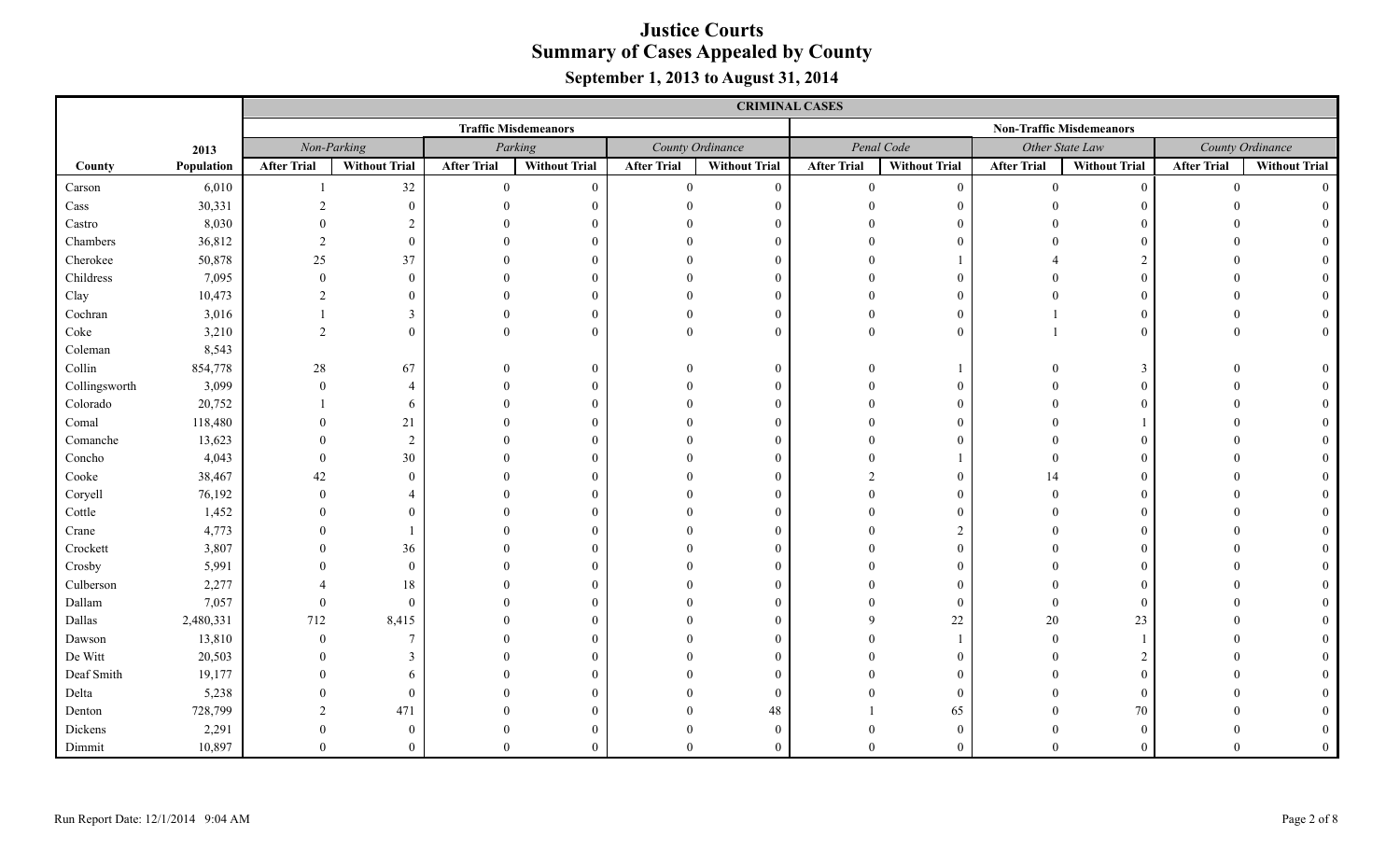|               |            |                    |                      |                    |                             |                    | <b>CRIMINAL CASES</b> |                    |                      |                    |                                 |                    |                      |
|---------------|------------|--------------------|----------------------|--------------------|-----------------------------|--------------------|-----------------------|--------------------|----------------------|--------------------|---------------------------------|--------------------|----------------------|
|               |            |                    |                      |                    | <b>Traffic Misdemeanors</b> |                    |                       |                    |                      |                    | <b>Non-Traffic Misdemeanors</b> |                    |                      |
|               | 2013       |                    | Non-Parking          |                    | Parking                     |                    | County Ordinance      |                    | Penal Code           |                    | Other State Law                 | County Ordinance   |                      |
| County        | Population | <b>After Trial</b> | <b>Without Trial</b> | <b>After Trial</b> | <b>Without Trial</b>        | <b>After Trial</b> | <b>Without Trial</b>  | <b>After Trial</b> | <b>Without Trial</b> | <b>After Trial</b> | <b>Without Trial</b>            | <b>After Trial</b> | <b>Without Trial</b> |
| Carson        | 6,010      |                    | 32                   | $\Omega$           | $\mathbf{0}$                | $\Omega$           | $\mathbf{0}$          | $\theta$           | $\mathbf{0}$         | $\Omega$           | $\theta$                        | $\Omega$           |                      |
| Cass          | 30,331     |                    | $\Omega$             |                    |                             |                    | $\overline{0}$        |                    |                      |                    |                                 |                    |                      |
| Castro        | 8,030      |                    | $\mathcal{D}$        |                    |                             |                    | $\overline{0}$        |                    |                      |                    |                                 |                    |                      |
| Chambers      | 36,812     |                    | $\Omega$             |                    | $\Omega$                    |                    | $\overline{0}$        |                    |                      |                    |                                 |                    |                      |
| Cherokee      | 50,878     | 25                 | 37                   |                    | $\Omega$                    |                    | $\mathbf{0}$          |                    |                      |                    |                                 |                    |                      |
| Childress     | 7,095      | $\Omega$           | $\Omega$             |                    | $\Omega$                    |                    | $\mathbf{0}$          |                    |                      |                    |                                 |                    |                      |
| Clay          | 10,473     |                    | $\Omega$             |                    | $\Omega$                    |                    | $\mathbf{0}$          |                    | - 0                  |                    |                                 |                    |                      |
| Cochran       | 3,016      |                    | 3                    |                    | $\Omega$                    |                    | $\mathbf{0}$          |                    | $\Omega$             |                    | $\Omega$                        |                    |                      |
| Coke          | 3,210      | 2                  | $\Omega$             |                    | $\theta$                    |                    | $\overline{0}$        | $\Omega$           | $\theta$             |                    | $\Omega$                        |                    |                      |
| Coleman       | 8,543      |                    |                      |                    |                             |                    |                       |                    |                      |                    |                                 |                    |                      |
| Collin        | 854,778    | $28\,$             | 67                   |                    | $\mathbf{0}$                |                    | $\boldsymbol{0}$      |                    |                      |                    | 3                               |                    |                      |
| Collingsworth | 3,099      |                    |                      |                    | $\Omega$                    |                    | $\mathbf{0}$          |                    | $\theta$             |                    |                                 |                    |                      |
| Colorado      | 20,752     |                    | 6                    |                    | $\Omega$                    |                    | $\mathbf{0}$          |                    | $\Omega$             |                    |                                 |                    |                      |
| Comal         | 118,480    |                    | 21                   |                    | $\Omega$                    |                    | $\mathbf{0}$          |                    | - 0                  |                    |                                 |                    |                      |
| Comanche      | 13,623     |                    |                      |                    | $\Omega$                    |                    | $\overline{0}$        |                    | $\Omega$             |                    |                                 |                    |                      |
| Concho        | 4,043      |                    | 30                   |                    | $\Omega$                    |                    | $\mathbf{0}$          |                    |                      |                    |                                 |                    |                      |
| Cooke         | 38,467     | 42                 | $\theta$             |                    | $\Omega$                    |                    | $\mathbf{0}$          |                    | $\theta$             |                    |                                 |                    |                      |
| Coryell       | 76,192     |                    |                      |                    | $\Omega$                    |                    | $\overline{0}$        |                    | $\Omega$             |                    |                                 |                    |                      |
| Cottle        | 1,452      |                    | $\Omega$             |                    |                             |                    | $\overline{0}$        |                    | $\Omega$             |                    |                                 |                    |                      |
| Crane         | 4,773      |                    |                      |                    |                             |                    | $\overline{0}$        |                    | $\mathcal{L}$        |                    |                                 |                    |                      |
| Crockett      | 3,807      |                    | 36                   |                    |                             |                    | $\mathbf{0}$          |                    | $\Omega$             |                    |                                 |                    |                      |
| Crosby        | 5,991      |                    | $\theta$             |                    | $\theta$                    |                    | $\mathbf{0}$          |                    | $\Omega$             |                    |                                 |                    |                      |
| Culberson     | 2,277      |                    | 18                   |                    | $\theta$                    |                    | $\overline{0}$        |                    | $\Omega$             |                    |                                 |                    |                      |
| Dallam        | 7,057      | $\Omega$           | $\theta$             |                    | $\Omega$                    |                    | $\overline{0}$        |                    | $\theta$             |                    | $\Omega$                        |                    |                      |
| Dallas        | 2,480,331  | 712                | 8,415                |                    | $\Omega$                    |                    | $\mathbf{0}$          | Ω                  | $22\,$               | 20                 | 23                              |                    |                      |
| Dawson        | 13,810     | $\Omega$           | $\overline{7}$       |                    | $\Omega$                    |                    | $\mathbf{0}$          |                    |                      | $\Omega$           |                                 |                    |                      |
| De Witt       | 20,503     |                    | $\mathcal{R}$        |                    | $\Omega$                    |                    | $\mathbf{0}$          |                    | $\Omega$             |                    |                                 |                    |                      |
| Deaf Smith    | 19,177     |                    | 6                    |                    | $\Omega$                    |                    | $\mathbf{0}$          |                    | $\Omega$             |                    |                                 |                    |                      |
| Delta         | 5,238      |                    | $\Omega$             |                    | $\Omega$                    |                    | $\boldsymbol{0}$      |                    | $\Omega$             |                    | $\Omega$                        |                    |                      |
| Denton        | 728,799    |                    | 471                  |                    |                             |                    | 48                    |                    | 65                   |                    | 70                              |                    |                      |
| Dickens       | 2,291      |                    | $\Omega$             |                    | $\Omega$                    |                    | $\mathbf{0}$          |                    | $\Omega$             |                    | $\Omega$                        |                    |                      |
| Dimmit        | 10,897     |                    | $\Omega$             |                    | $\Omega$                    |                    | $\Omega$              |                    | $\Omega$             |                    | $\Omega$                        |                    |                      |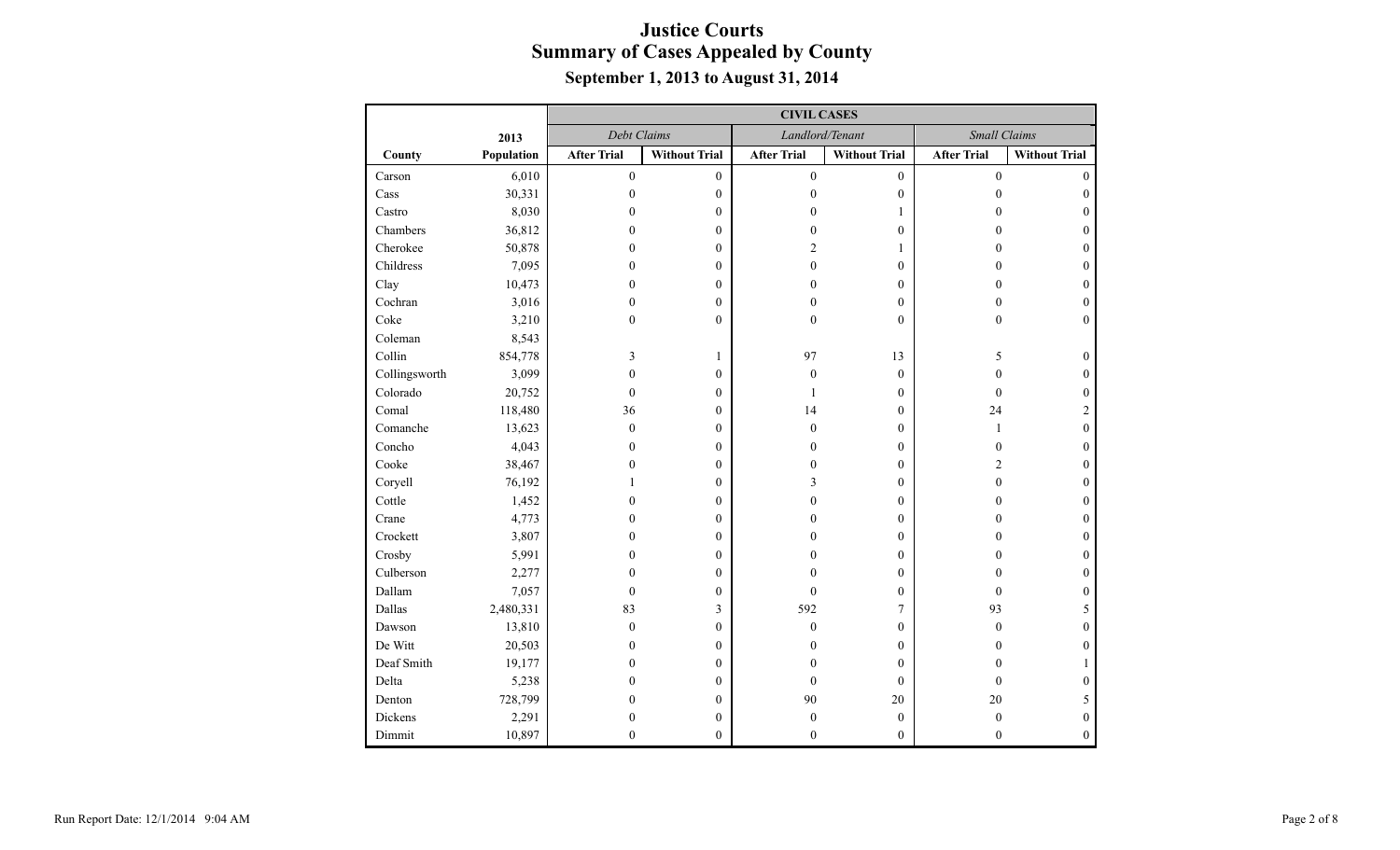|               |            |                    |                      | <b>CIVIL CASES</b> |                      |                     |                      |
|---------------|------------|--------------------|----------------------|--------------------|----------------------|---------------------|----------------------|
|               | 2013       | Debt Claims        |                      | Landlord/Tenant    |                      | <b>Small Claims</b> |                      |
| County        | Population | <b>After Trial</b> | <b>Without Trial</b> | <b>After Trial</b> | <b>Without Trial</b> | <b>After Trial</b>  | <b>Without Trial</b> |
| Carson        | 6,010      | $\mathbf{0}$       | $\overline{0}$       | $\mathbf{0}$       | $\mathbf{0}$         | $\mathbf{0}$        | $\Omega$             |
| Cass          | 30,331     | $\mathbf{0}$       | $\boldsymbol{0}$     | $\boldsymbol{0}$   | $\boldsymbol{0}$     | $\mathbf{0}$        | $\overline{0}$       |
| Castro        | 8,030      | $\theta$           | $\mathbf{0}$         | $\theta$           | 1                    | $\theta$            | $\Omega$             |
| Chambers      | 36,812     | $\mathbf{0}$       | $\boldsymbol{0}$     | $\mathbf{0}$       | $\mathbf{0}$         | $\theta$            | $\mathbf{0}$         |
| Cherokee      | 50,878     | $\theta$           | $\mathbf{0}$         | $\overline{2}$     | 1                    | $\Omega$            | $\theta$             |
| Childress     | 7,095      | $\mathbf{0}$       | $\boldsymbol{0}$     | $\mathbf{0}$       | $\mathbf{0}$         | $\theta$            | $\overline{0}$       |
| Clay          | 10,473     | $\theta$           | $\mathbf{0}$         | $\mathbf{0}$       | $\mathbf{0}$         | $\theta$            | $\theta$             |
| Cochran       | 3,016      | $\mathbf{0}$       | $\boldsymbol{0}$     | $\mathbf{0}$       | $\mathbf{0}$         | $\theta$            | $\overline{0}$       |
| Coke          | 3,210      | $\theta$           | $\theta$             | $\theta$           | $\theta$             | $\Omega$            | $\theta$             |
| Coleman       | 8,543      |                    |                      |                    |                      |                     |                      |
| Collin        | 854,778    | 3                  | 1                    | 97                 | 13                   | 5                   | $\boldsymbol{0}$     |
| Collingsworth | 3,099      | $\mathbf{0}$       | $\mathbf{0}$         | $\boldsymbol{0}$   | $\mathbf{0}$         | $\theta$            | $\overline{0}$       |
| Colorado      | 20,752     | $\mathbf{0}$       | $\boldsymbol{0}$     | 1                  | $\mathbf{0}$         | $\theta$            | $\overline{0}$       |
| Comal         | 118,480    | 36                 | $\boldsymbol{0}$     | 14                 | $\mathbf{0}$         | 24                  | $\overline{c}$       |
| Comanche      | 13,623     | $\boldsymbol{0}$   | $\boldsymbol{0}$     | $\boldsymbol{0}$   | $\mathbf{0}$         | 1                   | $\boldsymbol{0}$     |
| Concho        | 4,043      | $\mathbf{0}$       | $\mathbf{0}$         | $\mathbf{0}$       | $\theta$             | $\theta$            | $\mathbf{0}$         |
| Cooke         | 38,467     | $\boldsymbol{0}$   | $\boldsymbol{0}$     | $\boldsymbol{0}$   | $\boldsymbol{0}$     | $\overline{c}$      | $\overline{0}$       |
| Coryell       | 76,192     | $\mathbf{1}$       | $\mathbf{0}$         | 3                  | $\mathbf{0}$         | $\mathbf{0}$        | $\mathbf{0}$         |
| Cottle        | 1,452      | $\theta$           | $\boldsymbol{0}$     | $\boldsymbol{0}$   | $\mathbf{0}$         | $\theta$            | $\boldsymbol{0}$     |
| Crane         | 4,773      | $\mathbf{0}$       | $\boldsymbol{0}$     | $\mathbf{0}$       | $\mathbf{0}$         | $\Omega$            | $\overline{0}$       |
| Crockett      | 3,807      | $\mathbf{0}$       | $\boldsymbol{0}$     | $\mathbf{0}$       | $\mathbf{0}$         | $\theta$            | $\overline{0}$       |
| Crosby        | 5,991      | $\mathbf{0}$       | $\mathbf{0}$         | $\theta$           | $\theta$             | $\Omega$            | $\overline{0}$       |
| Culberson     | 2,277      | $\theta$           | $\mathbf{0}$         | $\theta$           | $\theta$             | $\Omega$            | $\mathbf{0}$         |
| Dallam        | 7,057      | $\theta$           | $\mathbf{0}$         | $\theta$           | $\theta$             | $\Omega$            | $\Omega$             |
| Dallas        | 2,480,331  | 83                 | 3                    | 592                | $\tau$               | 93                  | 5                    |
| Dawson        | 13,810     | $\mathbf{0}$       | $\mathbf{0}$         | $\mathbf{0}$       | $\Omega$             | $\theta$            | $\mathbf{0}$         |
| De Witt       | 20,503     | $\mathbf{0}$       | $\boldsymbol{0}$     | $\mathbf{0}$       | $\theta$             | $\Omega$            | $\mathbf{0}$         |
| Deaf Smith    | 19,177     | $\theta$           | $\mathbf{0}$         | $\theta$           | $\theta$             | $\Omega$            | 1                    |
| Delta         | 5,238      | $\mathbf{0}$       | $\boldsymbol{0}$     | $\mathbf{0}$       | $\mathbf{0}$         | $\mathbf{0}$        | $\mathbf{0}$         |
| Denton        | 728,799    | $\theta$           | $\mathbf{0}$         | 90                 | 20                   | 20                  | 5                    |
| Dickens       | 2,291      | $\boldsymbol{0}$   | $\boldsymbol{0}$     | $\boldsymbol{0}$   | $\boldsymbol{0}$     | $\boldsymbol{0}$    | $\boldsymbol{0}$     |
| Dimmit        | 10,897     | $\mathbf{0}$       | $\overline{0}$       | $\mathbf{0}$       | $\theta$             | $\mathbf{0}$        | $\boldsymbol{0}$     |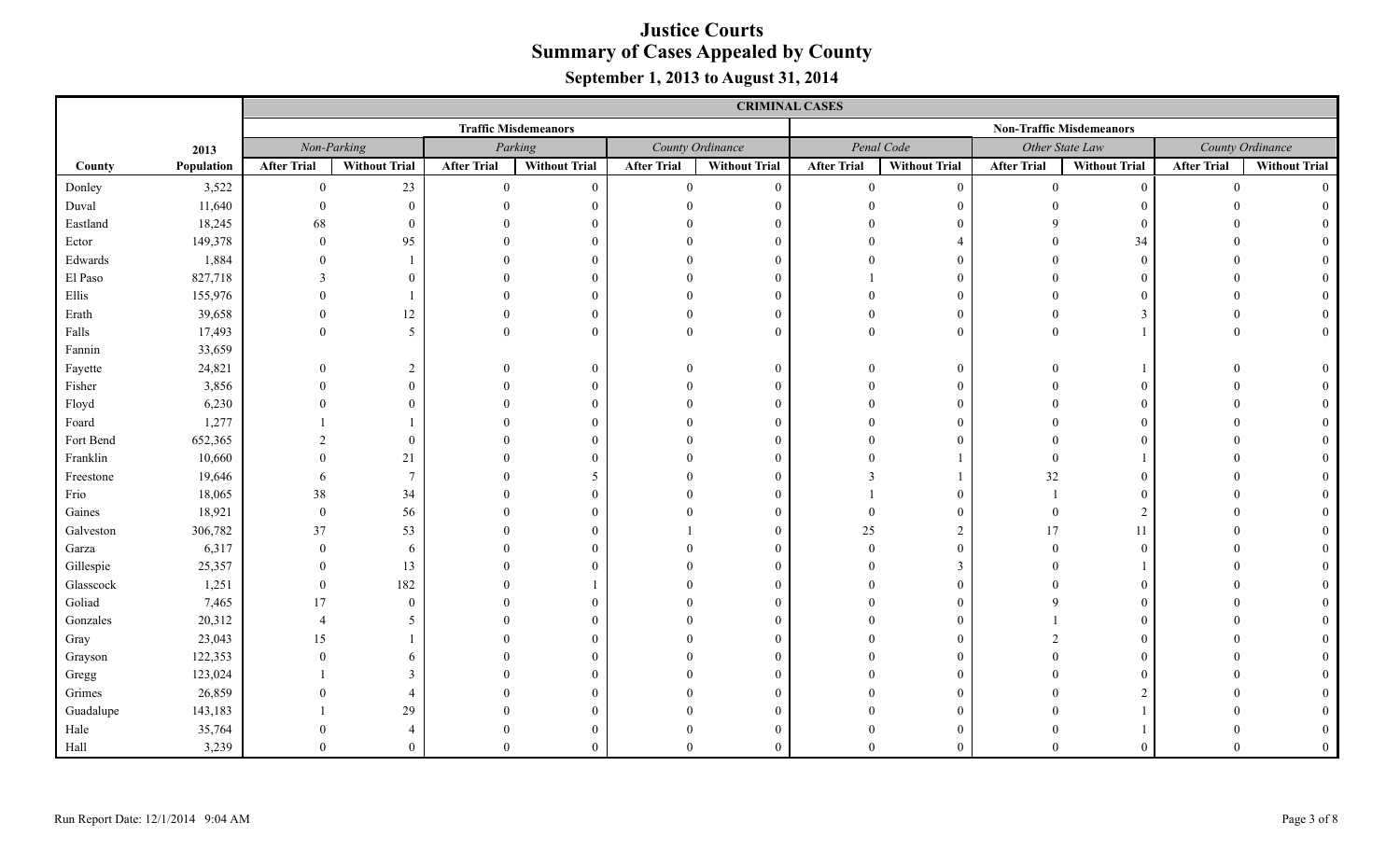|           |            |                        |                      |                    |                             |                    | <b>CRIMINAL CASES</b> |                    |                      |                    |                                 |                    |                      |
|-----------|------------|------------------------|----------------------|--------------------|-----------------------------|--------------------|-----------------------|--------------------|----------------------|--------------------|---------------------------------|--------------------|----------------------|
|           |            |                        |                      |                    | <b>Traffic Misdemeanors</b> |                    |                       |                    |                      |                    | <b>Non-Traffic Misdemeanors</b> |                    |                      |
|           | 2013       |                        | Non-Parking          |                    | Parking                     |                    | County Ordinance      |                    | Penal Code           |                    | Other State Law                 |                    | County Ordinance     |
| County    | Population | <b>After Trial</b>     | <b>Without Trial</b> | <b>After Trial</b> | <b>Without Trial</b>        | <b>After Trial</b> | <b>Without Trial</b>  | <b>After Trial</b> | <b>Without Trial</b> | <b>After Trial</b> | <b>Without Trial</b>            | <b>After Trial</b> | <b>Without Trial</b> |
| Donley    | 3,522      | $\theta$               | 23                   | $\theta$           | $\overline{0}$              | $\Omega$           | $\Omega$              | $\theta$           | $\theta$             | $\Omega$           | $\theta$                        | $\theta$           |                      |
| Duval     | 11,640     |                        | $\Omega$             |                    |                             |                    |                       |                    |                      |                    |                                 |                    |                      |
| Eastland  | 18,245     | 68                     | $\Omega$             |                    |                             |                    |                       |                    |                      |                    |                                 |                    |                      |
| Ector     | 149,378    | $\Omega$               | 95                   |                    |                             |                    |                       |                    |                      |                    | 34                              |                    |                      |
| Edwards   | 1,884      |                        |                      |                    | $\Omega$                    |                    | $\Omega$              |                    |                      |                    | $\Omega$                        |                    |                      |
| El Paso   | 827,718    |                        | $\Omega$             |                    | $\Omega$                    |                    | $\Omega$              |                    |                      |                    |                                 |                    |                      |
| Ellis     | 155,976    |                        |                      |                    | $\Omega$                    |                    | $\Omega$              |                    |                      |                    |                                 |                    |                      |
| Erath     | 39,658     |                        | 12                   |                    | $\Omega$                    |                    | $\Omega$              |                    |                      |                    |                                 |                    |                      |
| Falls     | 17,493     | $\Omega$               | 5                    |                    | $\Omega$                    |                    | $\Omega$              | $\Omega$           | $\Omega$             |                    |                                 |                    |                      |
| Fannin    | 33,659     |                        |                      |                    |                             |                    |                       |                    |                      |                    |                                 |                    |                      |
| Fayette   | 24,821     |                        | $\overline{2}$       |                    | $\overline{0}$              |                    | $\Omega$              |                    | $\Omega$             |                    |                                 |                    |                      |
| Fisher    | 3,856      |                        | $\Omega$             |                    | $\Omega$                    |                    | $\Omega$              |                    |                      |                    |                                 |                    |                      |
| Floyd     | 6,230      |                        | $\Omega$             |                    | 0                           |                    |                       |                    |                      |                    |                                 |                    |                      |
| Foard     | 1,277      |                        |                      |                    | $\Omega$                    |                    |                       |                    |                      |                    |                                 |                    |                      |
| Fort Bend | 652,365    |                        | $\theta$             |                    |                             |                    |                       |                    |                      |                    |                                 |                    |                      |
| Franklin  | 10,660     |                        | 21                   |                    |                             |                    |                       |                    |                      |                    |                                 |                    |                      |
| Freestone | 19,646     | 6                      |                      |                    | 5                           |                    |                       |                    |                      | 32                 |                                 |                    |                      |
| Frio      | 18,065     | 38                     | 34                   |                    |                             |                    |                       |                    |                      |                    |                                 |                    |                      |
| Gaines    | 18,921     | $\theta$               | 56                   |                    |                             |                    |                       |                    |                      |                    |                                 |                    |                      |
| Galveston | 306,782    | 37                     | 53                   |                    |                             |                    |                       | 25                 | $\mathcal{D}$        | 17                 | 11                              |                    |                      |
| Garza     | 6,317      | $\Omega$               | -6                   |                    |                             |                    |                       |                    |                      |                    |                                 |                    |                      |
| Gillespie | 25,357     |                        | 13                   |                    |                             |                    |                       |                    |                      |                    |                                 |                    |                      |
| Glasscock | 1,251      | $\theta$               | 182                  |                    |                             |                    |                       |                    |                      |                    |                                 |                    |                      |
| Goliad    | 7,465      | 17                     | $\overline{0}$       |                    | 0                           |                    |                       |                    |                      |                    |                                 |                    |                      |
| Gonzales  | 20,312     | $\boldsymbol{\Lambda}$ | 5                    |                    |                             |                    |                       |                    |                      |                    |                                 |                    |                      |
| Gray      | 23,043     | 15                     |                      |                    | $\Omega$                    |                    | $\Omega$              |                    |                      |                    |                                 |                    |                      |
| Grayson   | 122,353    |                        | 6                    |                    |                             |                    |                       |                    |                      |                    |                                 |                    |                      |
| Gregg     | 123,024    |                        | $\mathcal{E}$        |                    |                             |                    |                       |                    |                      |                    |                                 |                    |                      |
| Grimes    | 26,859     |                        |                      |                    |                             |                    |                       |                    |                      |                    |                                 |                    |                      |
| Guadalupe | 143,183    |                        | 29                   |                    |                             |                    |                       |                    |                      |                    |                                 |                    |                      |
| Hale      | 35,764     |                        |                      |                    |                             |                    |                       |                    |                      |                    |                                 |                    |                      |
| Hall      | 3,239      |                        | $\Omega$             |                    |                             |                    |                       |                    |                      |                    |                                 |                    |                      |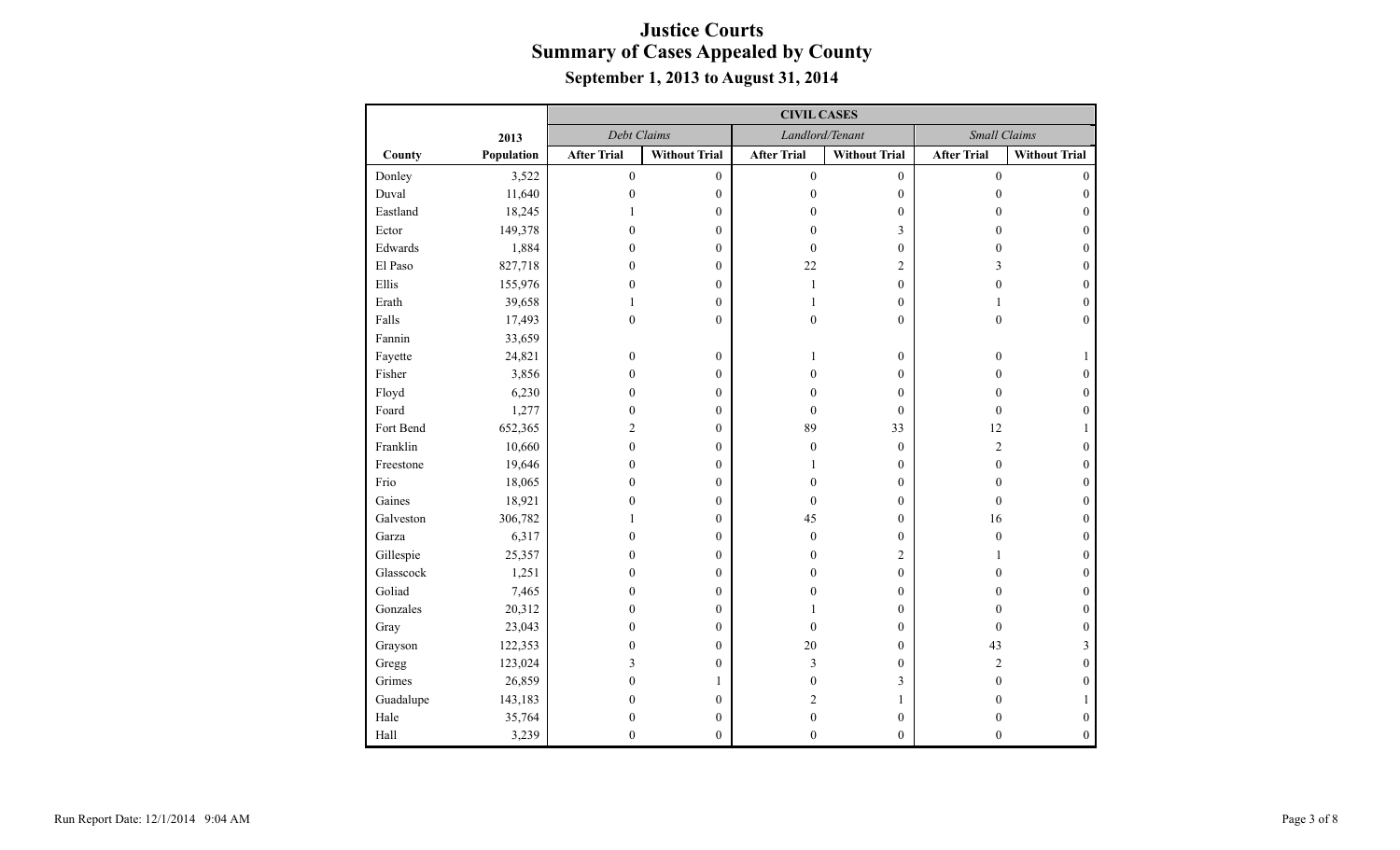|           |            |                    |                      | <b>CIVIL CASES</b> |                      |                     |                      |
|-----------|------------|--------------------|----------------------|--------------------|----------------------|---------------------|----------------------|
|           | 2013       | Debt Claims        |                      | Landlord/Tenant    |                      | <b>Small Claims</b> |                      |
| County    | Population | <b>After Trial</b> | <b>Without Trial</b> | <b>After Trial</b> | <b>Without Trial</b> | <b>After Trial</b>  | <b>Without Trial</b> |
| Donley    | 3,522      | $\boldsymbol{0}$   | $\boldsymbol{0}$     | $\boldsymbol{0}$   | $\boldsymbol{0}$     | $\boldsymbol{0}$    | $\theta$             |
| Duval     | 11,640     | $\boldsymbol{0}$   | $\boldsymbol{0}$     | $\mathbf{0}$       | $\mathbf{0}$         | $\theta$            | $\overline{0}$       |
| Eastland  | 18,245     | 1                  | $\boldsymbol{0}$     | $\theta$           | $\mathbf{0}$         | $\theta$            | $\overline{0}$       |
| Ector     | 149,378    | $\mathbf{0}$       | $\boldsymbol{0}$     | $\mathbf{0}$       | 3                    | $\theta$            | $\overline{0}$       |
| Edwards   | 1,884      | $\theta$           | $\boldsymbol{0}$     | $\boldsymbol{0}$   | $\mathbf{0}$         | $\boldsymbol{0}$    | $\boldsymbol{0}$     |
| El Paso   | 827,718    | $\mathbf{0}$       | $\boldsymbol{0}$     | 22                 | 2                    | 3                   | $\overline{0}$       |
| Ellis     | 155,976    | $\theta$           | $\overline{0}$       | $\mathbf{1}$       | $\mathbf{0}$         | $\theta$            | $\overline{0}$       |
| Erath     | 39,658     | 1                  | $\mathbf{0}$         | $\mathbf{1}$       | $\mathbf{0}$         |                     | $\overline{0}$       |
| Falls     | 17,493     | $\overline{0}$     | $\overline{0}$       | $\boldsymbol{0}$   | $\mathbf{0}$         | $\theta$            | $\mathbf{0}$         |
| Fannin    | 33,659     |                    |                      |                    |                      |                     |                      |
| Fayette   | 24,821     | $\boldsymbol{0}$   | $\boldsymbol{0}$     | 1                  | $\mathbf{0}$         | $\theta$            | 1                    |
| Fisher    | 3,856      | $\theta$           | $\mathbf{0}$         | $\theta$           | $\theta$             | 0                   | $\overline{0}$       |
| Floyd     | 6,230      | $\mathbf{0}$       | $\boldsymbol{0}$     | $\theta$           | $\theta$             | $\theta$            | $\overline{0}$       |
| Foard     | 1,277      | $\boldsymbol{0}$   | $\boldsymbol{0}$     | $\mathbf{0}$       | $\mathbf{0}$         | $\theta$            | $\overline{0}$       |
| Fort Bend | 652,365    | $\overline{2}$     | $\boldsymbol{0}$     | 89                 | 33                   | 12                  |                      |
| Franklin  | 10,660     | $\boldsymbol{0}$   | $\boldsymbol{0}$     | $\boldsymbol{0}$   | $\boldsymbol{0}$     | $\mathfrak{2}$      | $\mathbf{0}$         |
| Freestone | 19,646     | $\mathbf{0}$       | $\boldsymbol{0}$     | $\mathbf{1}$       | $\mathbf{0}$         | $\overline{0}$      | $\boldsymbol{0}$     |
| Frio      | 18,065     | $\boldsymbol{0}$   | $\boldsymbol{0}$     | $\boldsymbol{0}$   | $\mathbf{0}$         | $\theta$            | $\overline{0}$       |
| Gaines    | 18,921     | $\theta$           | $\mathbf{0}$         | $\mathbf{0}$       | $\mathbf{0}$         | $\theta$            | $\mathbf{0}$         |
| Galveston | 306,782    | 1                  | $\boldsymbol{0}$     | 45                 | $\mathbf{0}$         | 16                  | $\boldsymbol{0}$     |
| Garza     | 6,317      | $\theta$           | $\overline{0}$       | $\mathbf{0}$       | $\Omega$             | $\theta$            | $\overline{0}$       |
| Gillespie | 25,357     | $\mathbf{0}$       | $\boldsymbol{0}$     | $\mathbf{0}$       | $\overline{2}$       |                     | $\overline{0}$       |
| Glasscock | 1,251      | $\theta$           | $\boldsymbol{0}$     | $\theta$           | $\theta$             | $\theta$            | $\overline{0}$       |
| Goliad    | 7,465      | $\theta$           | $\mathbf{0}$         | $\theta$           | $\theta$             | $\theta$            | $\overline{0}$       |
| Gonzales  | 20,312     | $\mathbf{0}$       | $\boldsymbol{0}$     | 1                  | 0                    | 0                   | $\mathbf{0}$         |
| Gray      | 23,043     | $\mathbf{0}$       | $\mathbf{0}$         | $\mathbf{0}$       | $\theta$             | $\theta$            | $\boldsymbol{0}$     |
| Grayson   | 122,353    | $\mathbf{0}$       | $\boldsymbol{0}$     | $20\,$             | $\mathbf{0}$         | 43                  | 3                    |
| Gregg     | 123,024    | 3                  | $\boldsymbol{0}$     | 3                  | $\theta$             | $\overline{2}$      | $\overline{0}$       |
| Grimes    | 26,859     | $\mathbf{0}$       | 1                    | $\boldsymbol{0}$   | 3                    | $\theta$            | $\overline{0}$       |
| Guadalupe | 143,183    | $\theta$           | $\boldsymbol{0}$     | $\overline{2}$     | 1                    | $\theta$            | 1                    |
| Hale      | 35,764     | $\mathbf{0}$       | $\boldsymbol{0}$     | $\boldsymbol{0}$   | $\mathbf{0}$         | $\theta$            | $\mathbf{0}$         |
| Hall      | 3,239      | $\mathbf{0}$       | $\overline{0}$       | $\mathbf{0}$       | $\Omega$             | $\theta$            | $\boldsymbol{0}$     |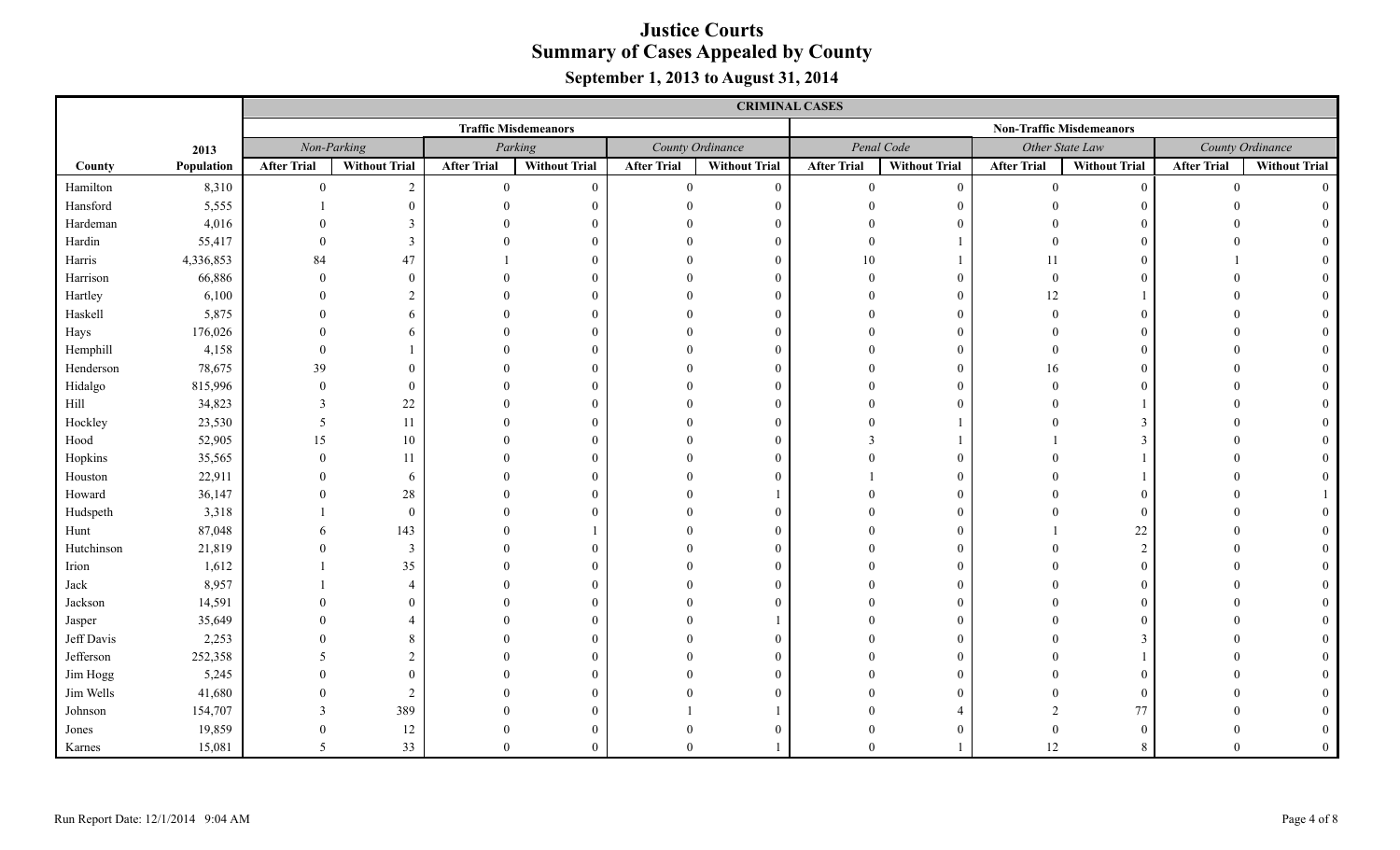|            |            | <b>CRIMINAL CASES</b><br><b>Traffic Misdemeanors</b> |                      |                    |                      |                    |                      |                    |                      |                    |                                 |                    |                      |
|------------|------------|------------------------------------------------------|----------------------|--------------------|----------------------|--------------------|----------------------|--------------------|----------------------|--------------------|---------------------------------|--------------------|----------------------|
|            |            |                                                      |                      |                    |                      |                    |                      |                    |                      |                    | <b>Non-Traffic Misdemeanors</b> |                    |                      |
|            | 2013       |                                                      | Non-Parking          |                    | Parking              |                    | County Ordinance     |                    | Penal Code           |                    | Other State Law                 |                    | County Ordinance     |
| County     | Population | <b>After Trial</b>                                   | <b>Without Trial</b> | <b>After Trial</b> | <b>Without Trial</b> | <b>After Trial</b> | <b>Without Trial</b> | <b>After Trial</b> | <b>Without Trial</b> | <b>After Trial</b> | <b>Without Trial</b>            | <b>After Trial</b> | <b>Without Trial</b> |
| Hamilton   | 8,310      | $\theta$                                             | $\overline{2}$       | $\theta$           | $\mathbf{0}$         | $\Omega$           | $\boldsymbol{0}$     | $\overline{0}$     | $\mathbf{0}$         | $\theta$           | $\theta$                        | $\theta$           |                      |
| Hansford   | 5,555      |                                                      | $\Omega$             |                    |                      |                    | $\Omega$             |                    | $\Omega$             |                    |                                 |                    |                      |
| Hardeman   | 4,016      |                                                      | $\mathcal{E}$        |                    |                      |                    | $\theta$             |                    | $\Omega$             |                    |                                 |                    |                      |
| Hardin     | 55,417     |                                                      | $\mathcal{E}$        |                    | $\Omega$             |                    | $\overline{0}$       |                    |                      |                    |                                 |                    |                      |
| Harris     | 4,336,853  | 84                                                   | 47                   |                    | $\Omega$             |                    | $\overline{0}$       | 10                 |                      | 11                 |                                 |                    |                      |
| Harrison   | 66,886     |                                                      | $\Omega$             |                    | $\Omega$             |                    | $\boldsymbol{0}$     |                    | $\Omega$             | $\Omega$           |                                 |                    |                      |
| Hartley    | 6,100      |                                                      | 2                    |                    | $\Omega$             |                    | $\boldsymbol{0}$     |                    | $\Omega$             | 12                 |                                 |                    |                      |
| Haskell    | 5,875      |                                                      | 6                    |                    | $\Omega$             |                    | $\boldsymbol{0}$     |                    | $\Omega$             | $\Omega$           | $\Omega$                        |                    |                      |
| Hays       | 176,026    |                                                      | 6                    |                    | $\Omega$             |                    | $\overline{0}$       |                    | $\Omega$             |                    | $\Omega$                        |                    |                      |
| Hemphill   | 4,158      |                                                      |                      |                    | $\Omega$             |                    | $\overline{0}$       |                    | $\Omega$             |                    | $\Omega$                        |                    |                      |
| Henderson  | 78,675     | 39                                                   | $\overline{0}$       |                    | $\Omega$             |                    | $\mathbf{0}$         |                    | $\theta$             | 16                 | $\Omega$                        |                    |                      |
| Hidalgo    | 815,996    | $\overline{0}$                                       | $\overline{0}$       |                    | $\theta$             |                    | $\boldsymbol{0}$     |                    | $\theta$             |                    | $\Omega$                        |                    |                      |
| Hill       | 34,823     | 3                                                    | 22                   |                    | $\Omega$             |                    | $\overline{0}$       |                    | $\theta$             |                    |                                 |                    |                      |
| Hockley    | 23,530     | 5                                                    | 11                   |                    | $\Omega$             |                    | $\overline{0}$       |                    |                      |                    |                                 |                    |                      |
| Hood       | 52,905     | 15                                                   | 10                   |                    | $\Omega$             |                    | $\overline{0}$       |                    |                      |                    |                                 |                    |                      |
| Hopkins    | 35,565     | $\Omega$                                             | 11                   |                    |                      |                    | $\boldsymbol{0}$     |                    | $\Omega$             |                    |                                 |                    |                      |
| Houston    | 22,911     |                                                      | 6                    |                    |                      |                    | $\theta$             |                    | $\theta$             |                    |                                 |                    |                      |
| Howard     | 36,147     |                                                      | 28                   |                    |                      |                    |                      |                    | $\Omega$             |                    |                                 |                    |                      |
| Hudspeth   | 3,318      |                                                      | $\overline{0}$       |                    |                      |                    | $\theta$             |                    | $\Omega$             |                    | $\Omega$                        |                    |                      |
| Hunt       | 87,048     |                                                      | 143                  |                    |                      |                    | $\overline{0}$       |                    | $\Omega$             |                    | 22                              |                    |                      |
| Hutchinson | 21,819     |                                                      | 3                    |                    | $\Omega$             |                    | $\boldsymbol{0}$     |                    | $\Omega$             |                    | $\mathcal{D}$                   |                    |                      |
| Irion      | 1,612      |                                                      | 35                   |                    | $\Omega$             |                    | $\mathbf{0}$         |                    | $\Omega$             |                    |                                 |                    |                      |
| Jack       | 8,957      |                                                      | $\overline{4}$       |                    | $\Omega$             |                    | $\overline{0}$       |                    | $\Omega$             |                    |                                 |                    |                      |
| Jackson    | 14,591     |                                                      | $\theta$             |                    | $\Omega$             |                    | $\overline{0}$       |                    | $\Omega$             |                    |                                 |                    |                      |
| Jasper     | 35,649     |                                                      | $\overline{4}$       |                    | $\Omega$             |                    | $\overline{1}$       |                    | $\Omega$             |                    |                                 |                    |                      |
| Jeff Davis | 2,253      |                                                      | $\mathbf{8}$         |                    | $\Omega$             |                    | $\Omega$             |                    | $\Omega$             |                    |                                 |                    |                      |
| Jefferson  | 252,358    |                                                      | 2                    |                    | $\Omega$             |                    | $\mathbf{0}$         |                    | $\Omega$             |                    |                                 |                    |                      |
| Jim Hogg   | 5,245      |                                                      | $\Omega$             |                    | $\Omega$             |                    | $\theta$             |                    | $\Omega$             |                    |                                 |                    |                      |
| Jim Wells  | 41,680     |                                                      | 2                    |                    | $\Omega$             |                    | $\Omega$             |                    | $\Omega$             |                    |                                 |                    |                      |
| Johnson    | 154,707    |                                                      | 389                  |                    |                      |                    |                      |                    |                      |                    | 77                              |                    |                      |
| Jones      | 19,859     | $\Omega$                                             | 12                   |                    |                      |                    |                      |                    | $\Omega$             |                    | $\Omega$                        |                    |                      |
| Karnes     | 15,081     | $\overline{5}$                                       | 33                   |                    |                      |                    |                      |                    |                      | 12                 | $\mathbf{8}$                    |                    |                      |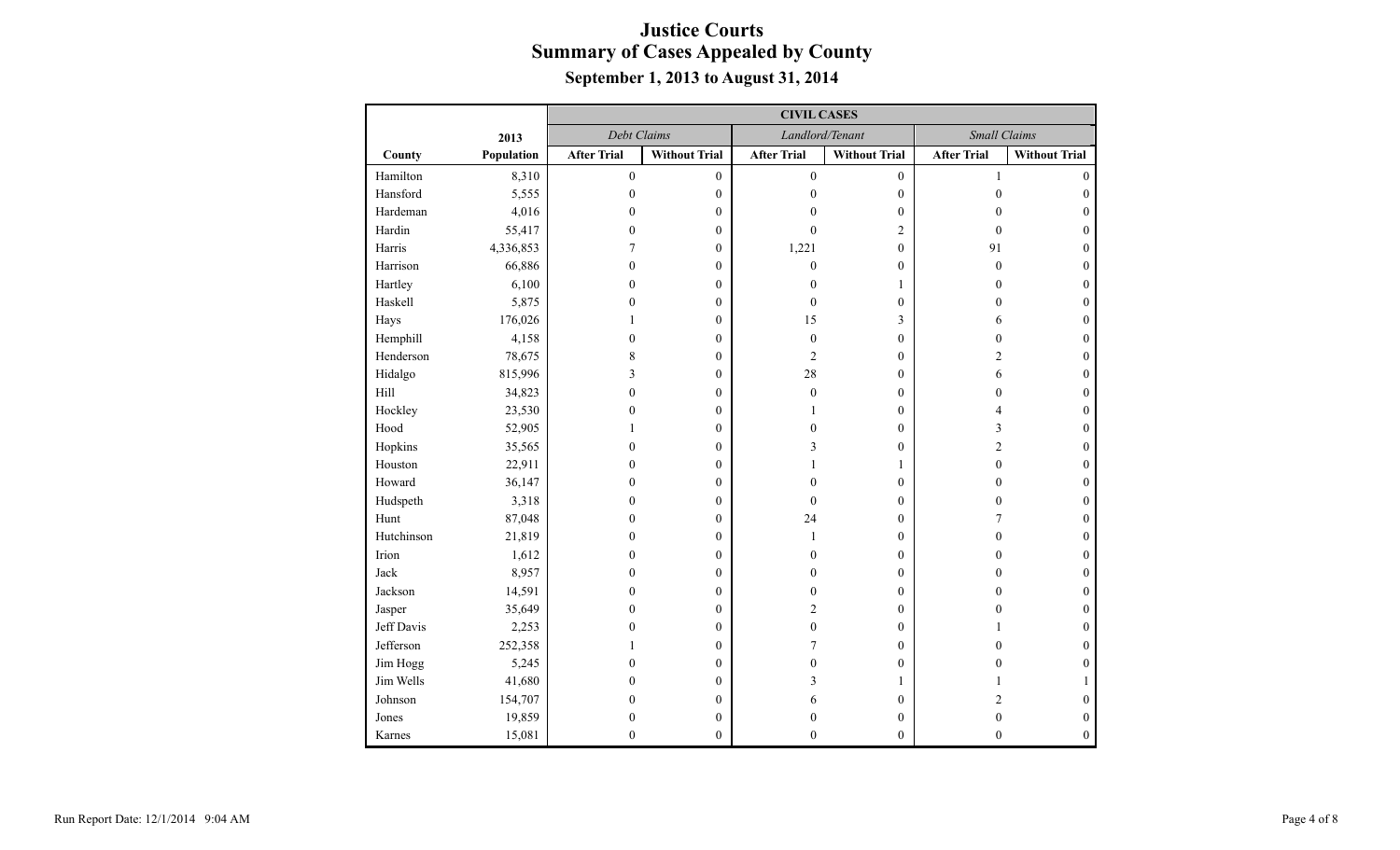|            |            |                    |                      | <b>CIVIL CASES</b> |                      |                     |                      |
|------------|------------|--------------------|----------------------|--------------------|----------------------|---------------------|----------------------|
|            | 2013       | Debt Claims        |                      | Landlord/Tenant    |                      | <b>Small Claims</b> |                      |
| County     | Population | <b>After Trial</b> | <b>Without Trial</b> | <b>After Trial</b> | <b>Without Trial</b> | <b>After Trial</b>  | <b>Without Trial</b> |
| Hamilton   | 8,310      | $\mathbf{0}$       | $\overline{0}$       | $\mathbf{0}$       | $\mathbf{0}$         | $\mathbf{1}$        | $\Omega$             |
| Hansford   | 5,555      | $\mathbf{0}$       | $\boldsymbol{0}$     | $\boldsymbol{0}$   | $\boldsymbol{0}$     | $\mathbf{0}$        | $\overline{0}$       |
| Hardeman   | 4,016      | $\theta$           | $\mathbf{0}$         | $\theta$           | $\mathbf{0}$         | $\theta$            | $\Omega$             |
| Hardin     | 55,417     | $\mathbf{0}$       | $\boldsymbol{0}$     | $\mathbf{0}$       | $\overline{c}$       | $\mathbf{0}$        | $\mathbf{0}$         |
| Harris     | 4,336,853  | 7                  | $\boldsymbol{0}$     | 1,221              | $\mathbf{0}$         | 91                  | $\overline{0}$       |
| Harrison   | 66,886     | $\mathbf{0}$       | $\boldsymbol{0}$     | $\boldsymbol{0}$   | $\mathbf{0}$         | $\mathbf{0}$        | $\overline{0}$       |
| Hartley    | 6,100      | $\theta$           | $\mathbf{0}$         | $\mathbf{0}$       | 1                    | $\theta$            | $\overline{0}$       |
| Haskell    | 5,875      | $\mathbf{0}$       | $\boldsymbol{0}$     | $\mathbf{0}$       | $\mathbf{0}$         | $\theta$            | $\overline{0}$       |
| Hays       | 176,026    | 1                  | $\boldsymbol{0}$     | 15                 | 3                    | 6                   | $\Omega$             |
| Hemphill   | 4,158      | $\mathbf{0}$       | $\boldsymbol{0}$     | $\mathbf{0}$       | $\mathbf{0}$         | $\theta$            | $\Omega$             |
| Henderson  | 78,675     | 8                  | $\boldsymbol{0}$     | $\overline{2}$     | $\mathbf{0}$         | $\overline{2}$      | $\overline{0}$       |
| Hidalgo    | 815,996    | 3                  | $\mathbf{0}$         | 28                 | $\mathbf{0}$         | 6                   | $\mathbf{0}$         |
| Hill       | 34,823     | $\mathbf{0}$       | $\boldsymbol{0}$     | $\boldsymbol{0}$   | $\mathbf{0}$         | $\theta$            | $\overline{0}$       |
| Hockley    | 23,530     | $\mathbf{0}$       | $\boldsymbol{0}$     | 1                  | $\mathbf{0}$         | $\overline{4}$      | $\mathbf{0}$         |
| Hood       | 52,905     | 1                  | $\boldsymbol{0}$     | $\mathbf{0}$       | $\mathbf{0}$         | 3                   | $\boldsymbol{0}$     |
| Hopkins    | 35,565     | $\mathbf{0}$       | $\mathbf{0}$         | 3                  | $\mathbf{0}$         | $\overline{c}$      | $\mathbf{0}$         |
| Houston    | 22,911     | $\boldsymbol{0}$   | $\boldsymbol{0}$     | 1                  | $\mathbf{1}$         | $\boldsymbol{0}$    | $\boldsymbol{0}$     |
| Howard     | 36,147     | $\mathbf{0}$       | $\boldsymbol{0}$     | $\overline{0}$     | $\mathbf{0}$         | $\mathbf{0}$        | $\boldsymbol{0}$     |
| Hudspeth   | 3,318      | $\mathbf{0}$       | $\boldsymbol{0}$     | $\mathbf{0}$       | $\mathbf{0}$         | $\theta$            | $\boldsymbol{0}$     |
| Hunt       | 87,048     | $\mathbf{0}$       | $\boldsymbol{0}$     | 24                 | $\mathbf{0}$         | 7                   | $\overline{0}$       |
| Hutchinson | 21,819     | $\boldsymbol{0}$   | $\boldsymbol{0}$     | $\mathbf{1}$       | $\boldsymbol{0}$     | $\mathbf{0}$        | $\boldsymbol{0}$     |
| Irion      | 1,612      | $\mathbf{0}$       | $\mathbf{0}$         | $\mathbf{0}$       | $\theta$             | $\Omega$            | $\mathbf{0}$         |
| Jack       | 8,957      | $\theta$           | $\boldsymbol{0}$     | $\mathbf{0}$       | $\theta$             | $\Omega$            | $\mathbf{0}$         |
| Jackson    | 14,591     | $\theta$           | $\overline{0}$       | $\theta$           | $\theta$             | $\Omega$            | $\Omega$             |
| Jasper     | 35,649     | $\mathbf{0}$       | $\boldsymbol{0}$     | $\overline{c}$     | $\theta$             | 0                   | $\mathbf{0}$         |
| Jeff Davis | 2,253      | $\theta$           | $\mathbf{0}$         | $\mathbf{0}$       | $\theta$             |                     | $\Omega$             |
| Jefferson  | 252,358    | 1                  | $\boldsymbol{0}$     | 7                  | $\theta$             | $\Omega$            | $\mathbf{0}$         |
| Jim Hogg   | 5,245      | $\theta$           | $\mathbf{0}$         | $\mathbf{0}$       | $\theta$             | $\Omega$            | $\overline{0}$       |
| Jim Wells  | 41,680     | $\mathbf{0}$       | $\boldsymbol{0}$     | 3                  | 1                    |                     | 1                    |
| Johnson    | 154,707    | $\theta$           | $\mathbf{0}$         | 6                  | $\theta$             | $\overline{2}$      | $\overline{0}$       |
| Jones      | 19,859     | $\boldsymbol{0}$   | $\boldsymbol{0}$     | $\boldsymbol{0}$   | $\boldsymbol{0}$     | $\boldsymbol{0}$    | $\boldsymbol{0}$     |
| Karnes     | 15,081     | $\mathbf{0}$       | $\overline{0}$       | $\mathbf{0}$       | $\theta$             | $\mathbf{0}$        | $\boldsymbol{0}$     |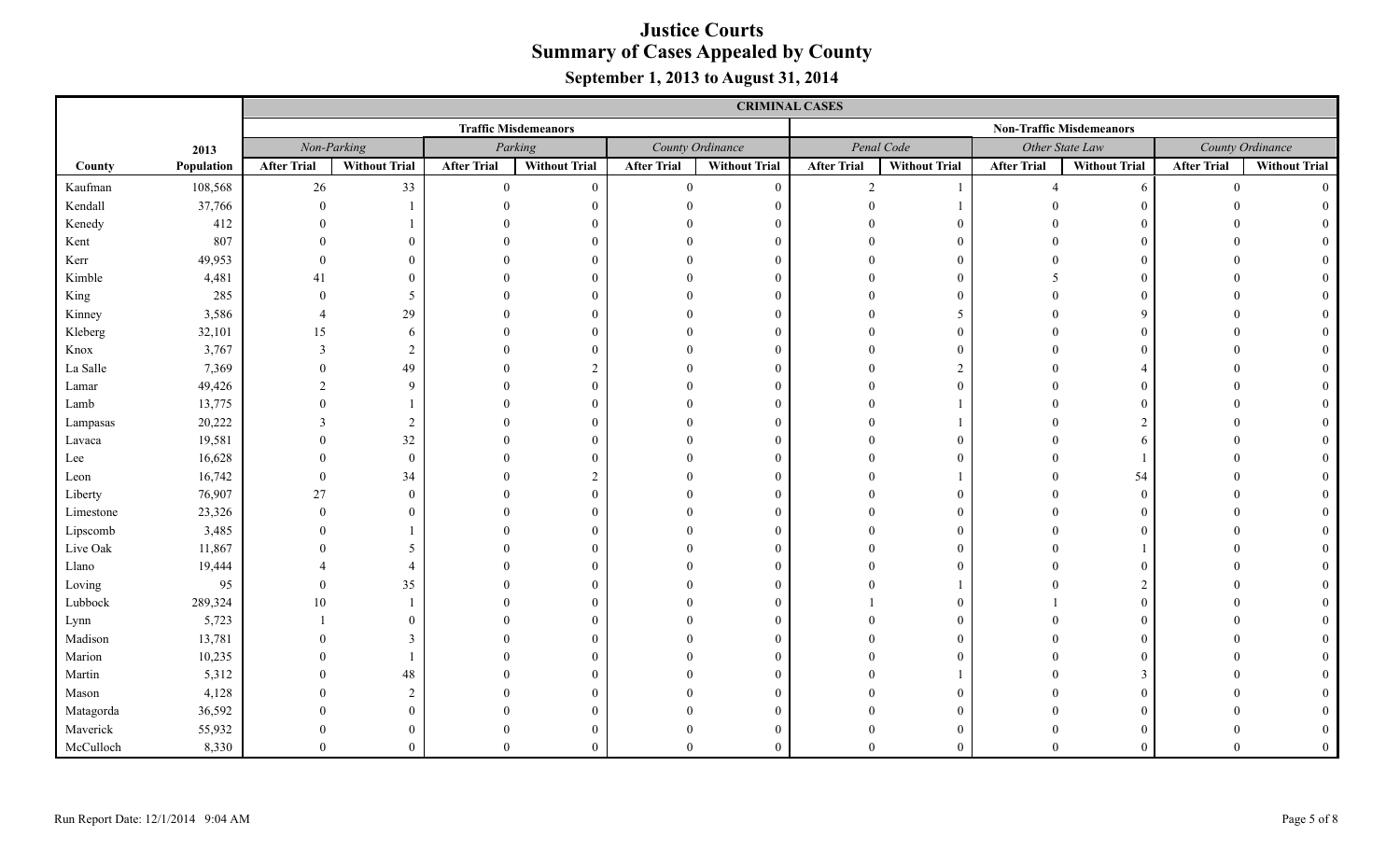|           |            | <b>CRIMINAL CASES</b> |                      |                    |                             |                    |                      |                    |                      |                        |                                 |                    |                      |
|-----------|------------|-----------------------|----------------------|--------------------|-----------------------------|--------------------|----------------------|--------------------|----------------------|------------------------|---------------------------------|--------------------|----------------------|
|           |            |                       |                      |                    | <b>Traffic Misdemeanors</b> |                    |                      |                    |                      |                        | <b>Non-Traffic Misdemeanors</b> |                    |                      |
|           | 2013       |                       | Non-Parking          |                    | Parking                     |                    | County Ordinance     |                    | Penal Code           |                        | Other State Law                 |                    | County Ordinance     |
| County    | Population | <b>After Trial</b>    | <b>Without Trial</b> | <b>After Trial</b> | <b>Without Trial</b>        | <b>After Trial</b> | <b>Without Trial</b> | <b>After Trial</b> | <b>Without Trial</b> | <b>After Trial</b>     | <b>Without Trial</b>            | <b>After Trial</b> | <b>Without Trial</b> |
| Kaufman   | 108,568    | 26                    | 33                   | $\theta$           | $\mathbf{0}$                | $\Omega$           | $\mathbf{0}$         | $\overline{2}$     | $\overline{1}$       | $\boldsymbol{\Lambda}$ | 6                               | $\theta$           |                      |
| Kendall   | 37,766     | $\Omega$              |                      |                    |                             |                    | $\theta$             |                    |                      |                        |                                 |                    |                      |
| Kenedy    | 412        |                       |                      |                    |                             |                    | $\theta$             |                    | $\Omega$             |                        |                                 |                    |                      |
| Kent      | 807        |                       | $\Omega$             |                    | $\Omega$                    |                    | $\overline{0}$       |                    | $\Omega$             |                        |                                 |                    |                      |
| Kerr      | 49,953     |                       | $\Omega$             |                    | $\theta$                    |                    | $\overline{0}$       |                    | $\Omega$             |                        |                                 |                    |                      |
| Kimble    | 4,481      |                       | $\Omega$             |                    | $\Omega$                    |                    | $\mathbf{0}$         |                    | $\Omega$             |                        |                                 |                    |                      |
| King      | 285        |                       | 5                    |                    | $\Omega$                    |                    | $\boldsymbol{0}$     |                    | $\Omega$             |                        |                                 |                    |                      |
| Kinney    | 3,586      |                       | 29                   |                    | $\Omega$                    |                    | $\boldsymbol{0}$     |                    | -5                   |                        |                                 |                    |                      |
| Kleberg   | 32,101     | 15                    | 6                    |                    | $\Omega$                    |                    | $\overline{0}$       |                    | $\Omega$             |                        |                                 |                    |                      |
| Knox      | 3,767      | $\mathcal{R}$         | 2                    |                    | $\theta$                    |                    | $\overline{0}$       |                    | $\Omega$             |                        |                                 |                    |                      |
| La Salle  | 7,369      | $\Omega$              | 49                   |                    | $\overline{2}$              |                    | $\mathbf{0}$         |                    | $\mathcal{D}$        |                        |                                 |                    |                      |
| Lamar     | 49,426     | $\overline{c}$        | 9                    |                    | $\overline{0}$              |                    | $\boldsymbol{0}$     |                    | $\theta$             |                        | $\Omega$                        |                    |                      |
| Lamb      | 13,775     |                       |                      |                    | $\Omega$                    |                    | $\overline{0}$       |                    |                      |                        | $\Omega$                        |                    |                      |
| Lampasas  | 20,222     |                       | $\overline{2}$       |                    | $\theta$                    |                    | $\overline{0}$       |                    |                      |                        |                                 |                    |                      |
| Lavaca    | 19,581     |                       | 32                   |                    | $\Omega$                    |                    | $\overline{0}$       |                    | $\Omega$             |                        |                                 |                    |                      |
| Lee       | 16,628     |                       | $\overline{0}$       |                    |                             |                    | $\mathbf{0}$         |                    | $\Omega$             |                        |                                 |                    |                      |
| Leon      | 16,742     | $\Omega$              | 34                   |                    | $\overline{c}$              |                    | $\mathbf{0}$         |                    |                      |                        | 54                              |                    |                      |
| Liberty   | 76,907     | 27                    | $\theta$             |                    |                             |                    | $\theta$             |                    | $\Omega$             |                        | $\Omega$                        |                    |                      |
| Limestone | 23,326     | $\Omega$              | $\Omega$             |                    |                             |                    | $\theta$             |                    | $\Omega$             |                        |                                 |                    |                      |
| Lipscomb  | 3,485      |                       |                      |                    | $\Omega$                    |                    | $\overline{0}$       |                    | $\Omega$             |                        |                                 |                    |                      |
| Live Oak  | 11,867     |                       | 5                    |                    | $\Omega$                    |                    | $\mathbf{0}$         |                    | $\Omega$             |                        |                                 |                    |                      |
| Llano     | 19,444     |                       | $\overline{4}$       |                    | $\Omega$                    |                    | $\mathbf{0}$         |                    | $\Omega$             |                        |                                 |                    |                      |
| Loving    | 95         | $^{\circ}$            | 35                   |                    | $\Omega$                    |                    | $\overline{0}$       |                    |                      |                        | C                               |                    |                      |
| Lubbock   | 289,324    | 10                    |                      |                    | $\Omega$                    |                    | $\overline{0}$       |                    | $\Omega$             |                        |                                 |                    |                      |
| Lynn      | 5,723      |                       | $\theta$             |                    | $\Omega$                    |                    | $\overline{0}$       |                    | $\Omega$             |                        |                                 |                    |                      |
| Madison   | 13,781     |                       | $\mathcal{E}$        |                    | $\Omega$                    |                    | $\overline{0}$       |                    | $\Omega$             |                        |                                 |                    |                      |
| Marion    | 10,235     |                       |                      |                    | $\Omega$                    |                    | $\mathbf{0}$         |                    | $\Omega$             |                        |                                 |                    |                      |
| Martin    | 5,312      |                       | 48                   |                    | $\Omega$                    |                    | $\theta$             |                    |                      |                        |                                 |                    |                      |
| Mason     | 4,128      |                       | 2                    |                    | $\Omega$                    |                    | $\theta$             |                    | $\Omega$             |                        |                                 |                    |                      |
| Matagorda | 36,592     |                       | $\Omega$             |                    |                             |                    | $\Omega$             |                    | $\Omega$             |                        |                                 |                    |                      |
| Maverick  | 55,932     |                       | $\Omega$             |                    |                             |                    | $\Omega$             |                    | $\Omega$             |                        |                                 |                    |                      |
| McCulloch | 8,330      |                       | $\Omega$             |                    |                             |                    | $\Omega$             |                    | $\Omega$             | $\Omega$               | $\Omega$                        |                    |                      |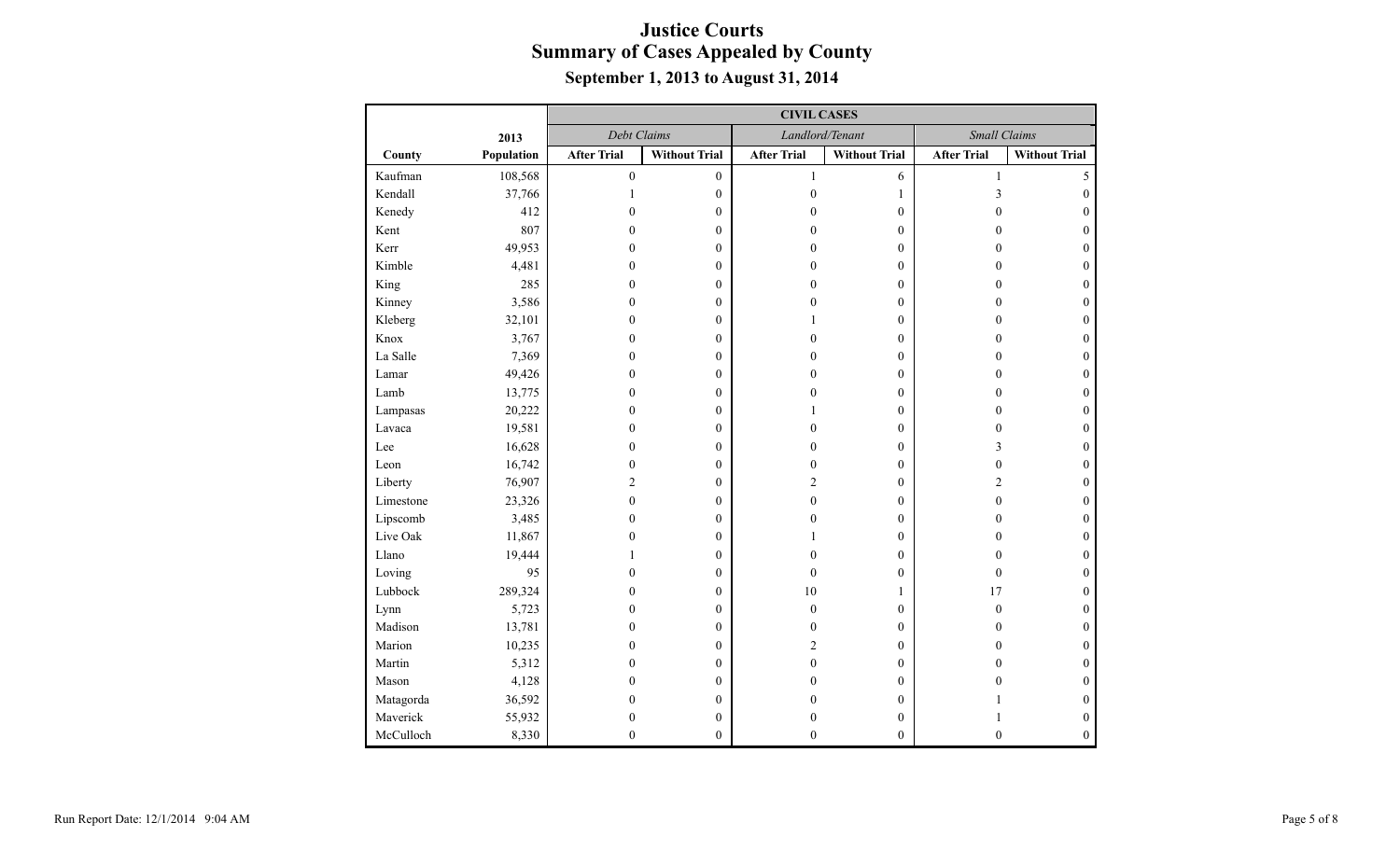|           |            |                    |                      | <b>CIVIL CASES</b> |                      |                     |                      |
|-----------|------------|--------------------|----------------------|--------------------|----------------------|---------------------|----------------------|
|           | 2013       | Debt Claims        |                      | Landlord/Tenant    |                      | <b>Small Claims</b> |                      |
| County    | Population | <b>After Trial</b> | <b>Without Trial</b> | <b>After Trial</b> | <b>Without Trial</b> | <b>After Trial</b>  | <b>Without Trial</b> |
| Kaufman   | 108,568    | $\boldsymbol{0}$   | $\overline{0}$       | $\mathbf{1}$       | 6                    | $\mathbf{1}$        | 5                    |
| Kendall   | 37,766     | $\mathbf{1}$       | $\boldsymbol{0}$     | $\overline{0}$     | 1                    | 3                   | $\overline{0}$       |
| Kenedy    | 412        | $\theta$           | $\boldsymbol{0}$     | $\theta$           | $\mathbf{0}$         | $\theta$            | 0                    |
| Kent      | 807        | $\mathbf{0}$       | $\boldsymbol{0}$     | $\theta$           | $\boldsymbol{0}$     | 0                   | $\overline{0}$       |
| Kerr      | 49,953     | $\mathbf{0}$       | $\boldsymbol{0}$     | $\theta$           | $\mathbf{0}$         | 0                   | $\mathbf{0}$         |
| Kimble    | 4,481      | $\mathbf{0}$       | $\boldsymbol{0}$     | $\mathbf{0}$       | $\mathbf{0}$         | $\theta$            | $\overline{0}$       |
| King      | 285        | $\mathbf{0}$       | $\boldsymbol{0}$     | $\theta$           | $\mathbf{0}$         | $\theta$            | $\overline{0}$       |
| Kinney    | 3,586      | $\mathbf{0}$       | $\boldsymbol{0}$     | $\theta$           | $\mathbf{0}$         | $\theta$            | $\overline{0}$       |
| Kleberg   | 32,101     | $\theta$           | $\overline{0}$       | 1                  | $\theta$             | $\Omega$            | $\Omega$             |
| Knox      | 3,767      | $\mathbf{0}$       | $\boldsymbol{0}$     | $\theta$           | $\mathbf{0}$         | 0                   | 0                    |
| La Salle  | 7,369      | $\mathbf{0}$       | $\boldsymbol{0}$     | $\theta$           | $\mathbf{0}$         | 0                   | $\Omega$             |
| Lamar     | 49,426     | $\mathbf{0}$       | $\boldsymbol{0}$     | $\theta$           | $\mathbf{0}$         | 0                   | $\overline{0}$       |
| Lamb      | 13,775     | $\mathbf{0}$       | $\boldsymbol{0}$     | $\theta$           | $\mathbf{0}$         | $\theta$            | $\Omega$             |
| Lampasas  | 20,222     | $\mathbf{0}$       | $\boldsymbol{0}$     |                    | $\mathbf{0}$         | $\theta$            | $\overline{0}$       |
| Lavaca    | 19,581     | $\mathbf{0}$       | $\boldsymbol{0}$     | $\theta$           | $\mathbf{0}$         | $\theta$            | $\mathbf{0}$         |
| Lee       | 16,628     | $\mathbf{0}$       | $\boldsymbol{0}$     | $\mathbf{0}$       | $\mathbf{0}$         | 3                   | $\overline{0}$       |
| Leon      | 16,742     | $\mathbf{0}$       | $\boldsymbol{0}$     | $\overline{0}$     | $\mathbf{0}$         | $\overline{0}$      | $\mathbf{0}$         |
| Liberty   | 76,907     | $\mathfrak{2}$     | $\boldsymbol{0}$     | $\overline{c}$     | $\boldsymbol{0}$     | $\overline{2}$      | $\boldsymbol{0}$     |
| Limestone | 23,326     | $\mathbf{0}$       | $\boldsymbol{0}$     | $\mathbf{0}$       | $\mathbf{0}$         | $\theta$            | $\overline{0}$       |
| Lipscomb  | 3,485      | $\mathbf{0}$       | $\boldsymbol{0}$     | $\theta$           | $\boldsymbol{0}$     | $\theta$            | $\overline{0}$       |
| Live Oak  | 11,867     | $\mathbf{0}$       | $\boldsymbol{0}$     |                    | $\mathbf{0}$         | $\theta$            | $\mathbf{0}$         |
| Llano     | 19,444     | 1                  | $\boldsymbol{0}$     | $\theta$           | $\theta$             | $\theta$            | $\overline{0}$       |
| Loving    | 95         | $\theta$           | $\overline{0}$       | $\theta$           | $\theta$             | $\theta$            | $\Omega$             |
| Lubbock   | 289,324    | $\mathbf{0}$       | $\boldsymbol{0}$     | $10\,$             | 1                    | 17                  | $\overline{0}$       |
| Lynn      | 5,723      | $\mathbf{0}$       | $\boldsymbol{0}$     | $\overline{0}$     | $\mathbf{0}$         | $\theta$            | $\mathbf{0}$         |
| Madison   | 13,781     | $\mathbf{0}$       | $\boldsymbol{0}$     | $\theta$           | $\mathbf{0}$         | 0                   | $\overline{0}$       |
| Marion    | 10,235     | $\theta$           | $\boldsymbol{0}$     | $\overline{c}$     | $\mathbf{0}$         | $\theta$            | $\mathbf{0}$         |
| Martin    | 5,312      | $\mathbf{0}$       | $\boldsymbol{0}$     | $\mathbf{0}$       | $\mathbf{0}$         | $\Omega$            | $\boldsymbol{0}$     |
| Mason     | 4,128      | $\theta$           | $\boldsymbol{0}$     | $\theta$           | $\mathbf{0}$         | $\theta$            | $\mathbf{0}$         |
| Matagorda | 36,592     | $\theta$           | $\boldsymbol{0}$     | $\theta$           | $\theta$             |                     | $\Omega$             |
| Maverick  | 55,932     | $\mathbf{0}$       | $\boldsymbol{0}$     | $\mathbf{0}$       | $\boldsymbol{0}$     |                     | $\boldsymbol{0}$     |
| McCulloch | 8,330      | $\boldsymbol{0}$   | $\boldsymbol{0}$     | $\boldsymbol{0}$   | $\mathbf{0}$         | $\boldsymbol{0}$    | $\boldsymbol{0}$     |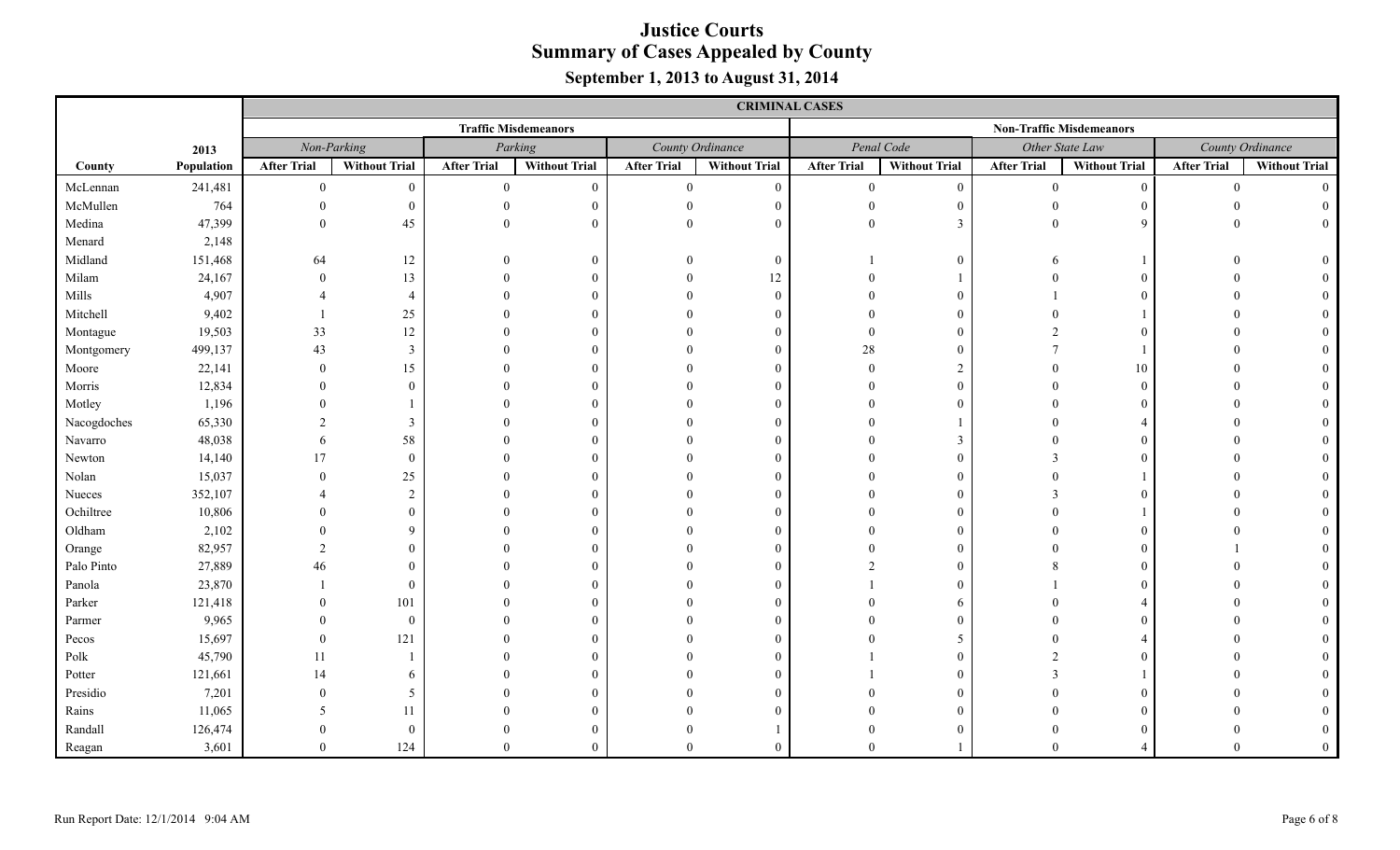|             |            |                    |                      |                    |                             |                    | <b>CRIMINAL CASES</b> |                    |                      |                    |                                 |                    |                      |
|-------------|------------|--------------------|----------------------|--------------------|-----------------------------|--------------------|-----------------------|--------------------|----------------------|--------------------|---------------------------------|--------------------|----------------------|
|             |            |                    |                      |                    | <b>Traffic Misdemeanors</b> |                    |                       |                    |                      |                    | <b>Non-Traffic Misdemeanors</b> |                    |                      |
|             | 2013       |                    | Non-Parking          |                    | Parking                     |                    | County Ordinance      |                    | Penal Code           |                    | Other State Law                 |                    | County Ordinance     |
| County      | Population | <b>After Trial</b> | <b>Without Trial</b> | <b>After Trial</b> | <b>Without Trial</b>        | <b>After Trial</b> | <b>Without Trial</b>  | <b>After Trial</b> | <b>Without Trial</b> | <b>After Trial</b> | <b>Without Trial</b>            | <b>After Trial</b> | <b>Without Trial</b> |
| McLennan    | 241,481    | $\theta$           | $\Omega$             | $\Omega$           | $\mathbf{0}$                | $\Omega$           | $\boldsymbol{0}$      | $\theta$           | $\mathbf{0}$         | $\theta$           | $\theta$                        | $\Omega$           |                      |
| McMullen    | 764        |                    |                      |                    | $\Omega$                    |                    | $\mathbf{0}$          |                    | $\Omega$             |                    |                                 |                    |                      |
| Medina      | 47,399     |                    | 45                   |                    | $\theta$                    |                    | $\mathbf{0}$          | $\Omega$           | 3                    |                    | $\Omega$                        |                    |                      |
| Menard      | 2,148      |                    |                      |                    |                             |                    |                       |                    |                      |                    |                                 |                    |                      |
| Midland     | 151,468    | 64                 | 12                   |                    | $\mathbf{0}$                |                    | $\mathbf{0}$          |                    | $\theta$             |                    |                                 |                    |                      |
| Milam       | 24,167     | $\Omega$           | 13                   |                    | $\theta$                    |                    | 12                    |                    |                      |                    | $\Omega$                        |                    |                      |
| Mills       | 4,907      |                    |                      |                    | $\Omega$                    |                    | $\boldsymbol{0}$      |                    | $\Omega$             |                    |                                 |                    |                      |
| Mitchell    | 9,402      |                    | 25                   |                    | $\Omega$                    |                    | $\mathbf{0}$          |                    | $\Omega$             |                    |                                 |                    |                      |
| Montague    | 19,503     | 33                 | 12                   |                    | $\Omega$                    |                    | $\mathbf{0}$          |                    | $\Omega$             |                    | $\Omega$                        |                    |                      |
| Montgomery  | 499,137    | 43                 | $\overline{3}$       |                    | $\Omega$                    |                    | $\mathbf{0}$          | 28                 | $\Omega$             |                    |                                 |                    |                      |
| Moore       | 22,141     | $\Omega$           | 15                   |                    | $\Omega$                    |                    | $\mathbf{0}$          |                    | $\mathcal{L}$        |                    | 10                              |                    |                      |
| Morris      | 12,834     |                    | $\Omega$             |                    | $\Omega$                    |                    | $\mathbf{0}$          |                    | $\Omega$             |                    | $\Omega$                        |                    |                      |
| Motley      | 1,196      |                    |                      |                    | $\Omega$                    |                    | $\mathbf{0}$          |                    | $\Omega$             |                    |                                 |                    |                      |
| Nacogdoches | 65,330     |                    | 3                    |                    | $\Omega$                    |                    | $\mathbf{0}$          |                    |                      |                    |                                 |                    |                      |
| Navarro     | 48,038     | 6                  | 58                   |                    | $\Omega$                    |                    | $\overline{0}$        |                    | $\mathcal{R}$        |                    | $\Omega$                        |                    |                      |
| Newton      | 14,140     | 17                 | $\Omega$             |                    | $\Omega$                    |                    | $\mathbf{0}$          |                    | $\Omega$             |                    |                                 |                    |                      |
| Nolan       | 15,037     | $\Omega$           | 25                   |                    | $\Omega$                    |                    | $\mathbf{0}$          |                    | $\theta$             |                    |                                 |                    |                      |
| Nueces      | 352,107    |                    | $\mathcal{D}$        |                    | $\Omega$                    |                    | $\overline{0}$        |                    | $\Omega$             |                    |                                 |                    |                      |
| Ochiltree   | 10,806     |                    | $\Omega$             |                    | $\Omega$                    |                    | $\overline{0}$        |                    | $\Omega$             |                    |                                 |                    |                      |
| Oldham      | 2,102      |                    | $\mathbf Q$          |                    |                             |                    | $\mathbf{0}$          |                    | $^{\circ}$           |                    |                                 |                    |                      |
| Orange      | 82,957     |                    | $\Omega$             |                    |                             |                    | $\mathbf{0}$          |                    | $\Omega$             |                    |                                 |                    |                      |
| Palo Pinto  | 27,889     |                    | $\Omega$             |                    | $\theta$                    |                    | $\mathbf{0}$          |                    | - 0                  |                    |                                 |                    |                      |
| Panola      | 23,870     |                    | $\overline{0}$       |                    | $\theta$                    |                    | $\overline{0}$        |                    | $\Omega$             |                    |                                 |                    |                      |
| Parker      | 121,418    |                    | 101                  |                    | $\Omega$                    |                    | $\overline{0}$        |                    | 6                    |                    |                                 |                    |                      |
| Parmer      | 9,965      |                    | $\overline{0}$       |                    | $\Omega$                    |                    | $\overline{0}$        |                    | $\Omega$             |                    |                                 |                    |                      |
| Pecos       | 15,697     | $\Omega$           | 121                  |                    | $\Omega$                    |                    | $\mathbf{0}$          |                    | $\sim$               |                    |                                 |                    |                      |
| Polk        | 45,790     | 11                 |                      |                    | $\Omega$                    |                    | $\mathbf{0}$          |                    | $^{\circ}$           |                    |                                 |                    |                      |
| Potter      | 121,661    | 14                 | 6                    |                    | $\Omega$                    |                    | $\overline{0}$        |                    | $\Omega$             |                    |                                 |                    |                      |
| Presidio    | 7,201      |                    | 5                    |                    | $\Omega$                    |                    | $\boldsymbol{0}$      |                    |                      |                    |                                 |                    |                      |
| Rains       | 11,065     |                    | 11                   |                    |                             |                    | $\theta$              |                    |                      |                    |                                 |                    |                      |
| Randall     | 126,474    |                    | $\theta$             |                    | $\Omega$                    |                    |                       |                    |                      |                    |                                 |                    |                      |
| Reagan      | 3,601      |                    | 124                  |                    | $\Omega$                    |                    | $\Omega$              |                    |                      |                    |                                 |                    |                      |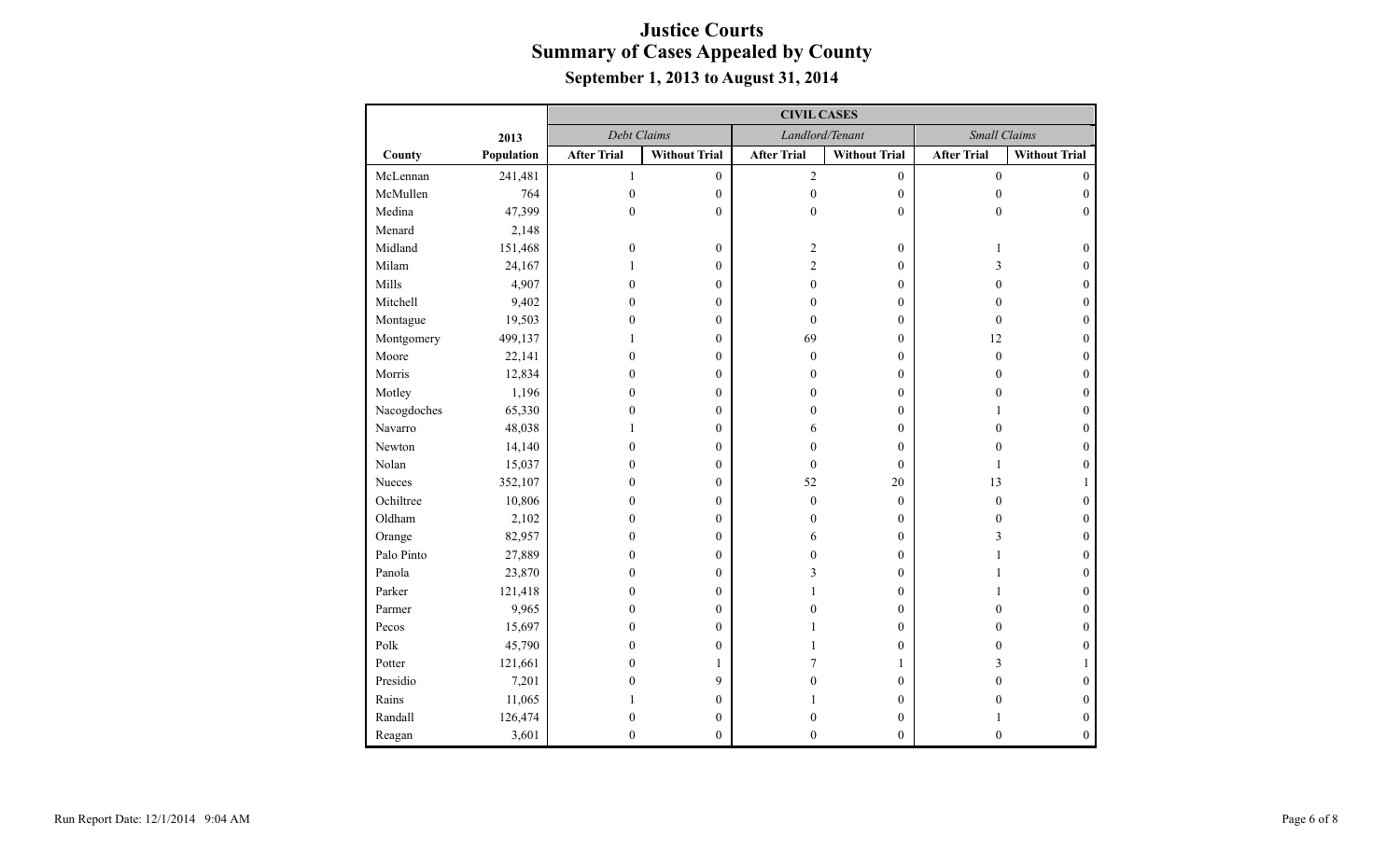|             |            | <b>CIVIL CASES</b><br>Debt Claims<br>Landlord/Tenant<br><b>Small Claims</b> |                      |                    |                      |                    |                      |  |  |
|-------------|------------|-----------------------------------------------------------------------------|----------------------|--------------------|----------------------|--------------------|----------------------|--|--|
|             | 2013       |                                                                             |                      |                    |                      |                    |                      |  |  |
| County      | Population | <b>After Trial</b>                                                          | <b>Without Trial</b> | <b>After Trial</b> | <b>Without Trial</b> | <b>After Trial</b> | <b>Without Trial</b> |  |  |
| McLennan    | 241,481    | $\mathbf{1}$                                                                | $\boldsymbol{0}$     | $\overline{2}$     | $\boldsymbol{0}$     | $\boldsymbol{0}$   | $\theta$             |  |  |
| McMullen    | 764        | $\boldsymbol{0}$                                                            | $\boldsymbol{0}$     | $\boldsymbol{0}$   | $\overline{0}$       | $\mathbf{0}$       | $\overline{0}$       |  |  |
| Medina      | 47,399     | $\overline{0}$                                                              | $\boldsymbol{0}$     | $\boldsymbol{0}$   | $\overline{0}$       | $\mathbf{0}$       | $\boldsymbol{0}$     |  |  |
| Menard      | 2,148      |                                                                             |                      |                    |                      |                    |                      |  |  |
| Midland     | 151,468    | $\boldsymbol{0}$                                                            | $\boldsymbol{0}$     | $\overline{c}$     | $\boldsymbol{0}$     | 1                  | $\boldsymbol{0}$     |  |  |
| Milam       | 24,167     | 1                                                                           | $\boldsymbol{0}$     | $\overline{c}$     | $\theta$             | 3                  | $\overline{0}$       |  |  |
| Mills       | 4,907      | $\mathbf{0}$                                                                | $\boldsymbol{0}$     | $\boldsymbol{0}$   | $\overline{0}$       | $\mathbf{0}$       | $\boldsymbol{0}$     |  |  |
| Mitchell    | 9,402      | $\theta$                                                                    | $\mathbf{0}$         | $\mathbf{0}$       | $\theta$             | 0                  | $\overline{0}$       |  |  |
| Montague    | 19,503     | $\mathbf{0}$                                                                | $\boldsymbol{0}$     | $\mathbf{0}$       | $\overline{0}$       | $\mathbf{0}$       | $\overline{0}$       |  |  |
| Montgomery  | 499,137    | 1                                                                           | $\mathbf{0}$         | 69                 | $\Omega$             | 12                 | $\overline{0}$       |  |  |
| Moore       | 22,141     | $\mathbf{0}$                                                                | $\boldsymbol{0}$     | $\mathbf{0}$       | $\overline{0}$       | $\mathbf{0}$       | $\overline{0}$       |  |  |
| Morris      | 12,834     | $\theta$                                                                    | $\mathbf{0}$         | $\theta$           | $\theta$             | $\Omega$           | $\overline{0}$       |  |  |
| Motley      | 1,196      | $\theta$                                                                    | $\boldsymbol{0}$     | $\mathbf{0}$       | $\theta$             | $\theta$           | $\overline{0}$       |  |  |
| Nacogdoches | 65,330     | $\mathbf{0}$                                                                | $\boldsymbol{0}$     | $\mathbf{0}$       | $\overline{0}$       |                    | $\overline{0}$       |  |  |
| Navarro     | 48,038     | 1                                                                           | $\boldsymbol{0}$     | 6                  | $\mathbf{0}$         | $\Omega$           | $\overline{0}$       |  |  |
| Newton      | 14,140     | $\mathbf{0}$                                                                | $\boldsymbol{0}$     | $\boldsymbol{0}$   | $\overline{0}$       | $\theta$           | $\mathbf{0}$         |  |  |
| Nolan       | 15,037     | $\mathbf{0}$                                                                | $\boldsymbol{0}$     | $\theta$           | $\overline{0}$       | 1                  | $\boldsymbol{0}$     |  |  |
| Nueces      | 352,107    | $\mathbf{0}$                                                                | $\boldsymbol{0}$     | 52                 | $20\,$               | 13                 | $\mathbf{1}$         |  |  |
| Ochiltree   | 10,806     | $\mathbf{0}$                                                                | $\boldsymbol{0}$     | $\boldsymbol{0}$   | $\mathbf{0}$         | $\mathbf{0}$       | $\boldsymbol{0}$     |  |  |
| Oldham      | 2,102      | $\mathbf{0}$                                                                | $\boldsymbol{0}$     | $\mathbf{0}$       | $\overline{0}$       | $\boldsymbol{0}$   | $\boldsymbol{0}$     |  |  |
| Orange      | 82,957     | $\theta$                                                                    | $\overline{0}$       | 6                  | $\theta$             | 3                  | $\overline{0}$       |  |  |
| Palo Pinto  | 27,889     | $\mathbf{0}$                                                                | $\boldsymbol{0}$     | $\mathbf{0}$       | $\mathbf{0}$         | 1                  | $\overline{0}$       |  |  |
| Panola      | 23,870     | $\theta$                                                                    | $\boldsymbol{0}$     | 3                  | $\theta$             | 1                  | $\overline{0}$       |  |  |
| Parker      | 121,418    | $\mathbf{0}$                                                                | $\mathbf{0}$         | $\mathbf{1}$       | $\theta$             | 1                  | $\overline{0}$       |  |  |
| Parmer      | 9,965      | $\mathbf{0}$                                                                | $\boldsymbol{0}$     | $\mathbf{0}$       | $\mathbf{0}$         | $\Omega$           | $\overline{0}$       |  |  |
| Pecos       | 15,697     | $\overline{0}$                                                              | $\boldsymbol{0}$     | 1                  | $\theta$             | 0                  | $\boldsymbol{0}$     |  |  |
| Polk        | 45,790     | $\mathbf{0}$                                                                | $\boldsymbol{0}$     | 1                  | $\overline{0}$       | 0                  | $\overline{0}$       |  |  |
| Potter      | 121,661    | $\theta$                                                                    | $\mathbf{1}$         | 7                  |                      | 3                  | 1                    |  |  |
| Presidio    | 7,201      | $\mathbf{0}$                                                                | 9                    | $\mathbf{0}$       | $\mathbf{0}$         | $\theta$           | $\overline{0}$       |  |  |
| Rains       | 11,065     | 1                                                                           | $\boldsymbol{0}$     | 1                  | $\theta$             | $\theta$           | $\overline{0}$       |  |  |
| Randall     | 126,474    | $\mathbf{0}$                                                                | $\boldsymbol{0}$     | $\boldsymbol{0}$   | $\mathbf{0}$         | 1                  | $\mathbf{0}$         |  |  |
| Reagan      | 3,601      | $\theta$                                                                    | $\overline{0}$       | $\mathbf{0}$       | $\Omega$             | $\theta$           | $\overline{0}$       |  |  |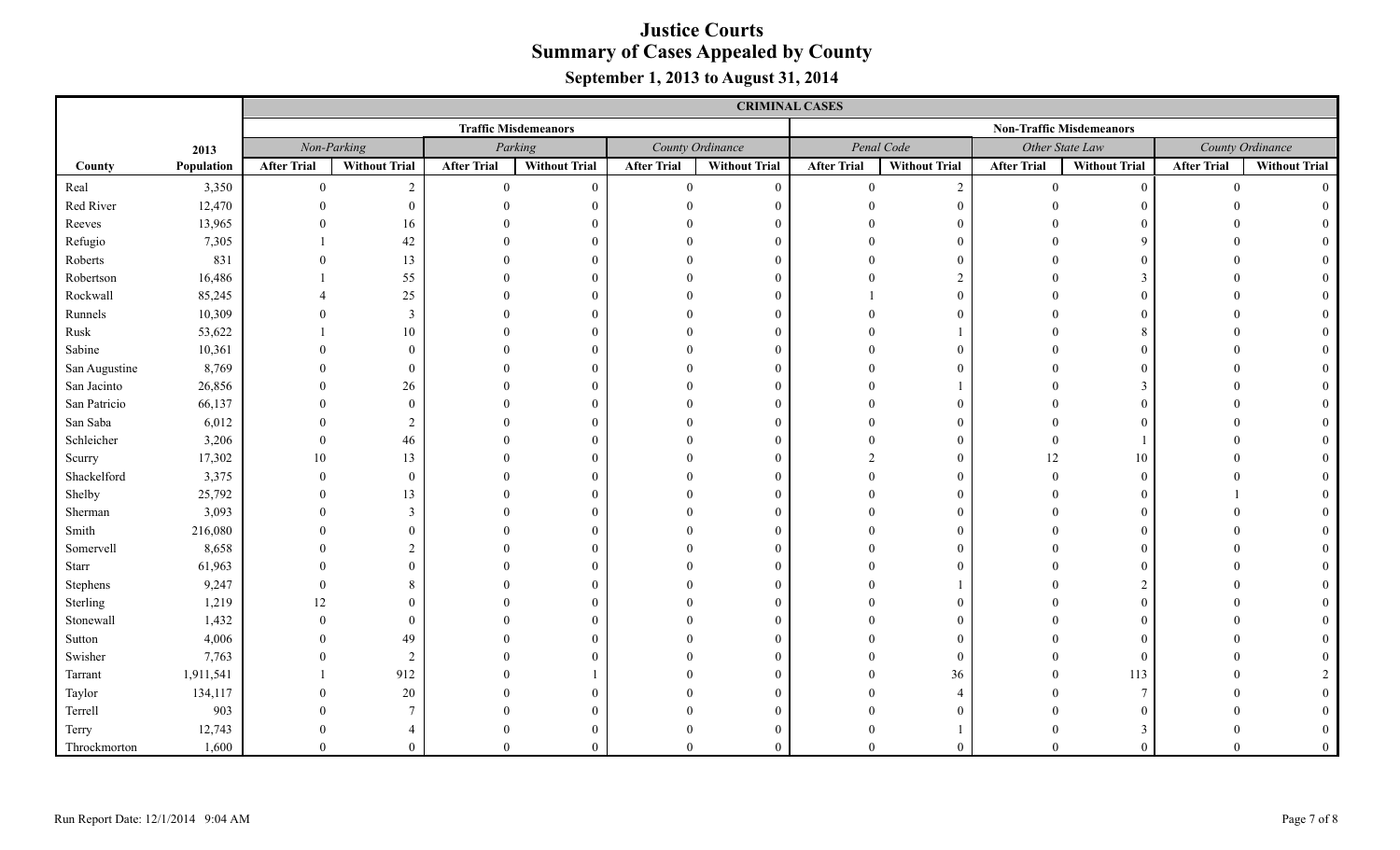|               |            | <b>CRIMINAL CASES</b>       |                      |                    |                      |                    |                      |                                 |                      |                    |                      |                    |                      |
|---------------|------------|-----------------------------|----------------------|--------------------|----------------------|--------------------|----------------------|---------------------------------|----------------------|--------------------|----------------------|--------------------|----------------------|
|               |            | <b>Traffic Misdemeanors</b> |                      |                    |                      |                    |                      | <b>Non-Traffic Misdemeanors</b> |                      |                    |                      |                    |                      |
|               | 2013       | Non-Parking                 |                      | Parking            |                      | County Ordinance   |                      | Penal Code                      |                      | Other State Law    |                      | County Ordinance   |                      |
| County        | Population | <b>After Trial</b>          | <b>Without Trial</b> | <b>After Trial</b> | <b>Without Trial</b> | <b>After Trial</b> | <b>Without Trial</b> | <b>After Trial</b>              | <b>Without Trial</b> | <b>After Trial</b> | <b>Without Trial</b> | <b>After Trial</b> | <b>Without Trial</b> |
| Real          | 3,350      | $\Omega$                    | $\overline{2}$       | $\theta$           | $\overline{0}$       | $\Omega$           | $\mathbf{0}$         | $\Omega$                        | 2                    | $\Omega$           | $\theta$             | $\Omega$           |                      |
| Red River     | 12,470     |                             | $\Omega$             |                    |                      |                    | $\Omega$             |                                 |                      |                    |                      |                    |                      |
| Reeves        | 13,965     |                             | 16                   |                    |                      |                    | $\theta$             |                                 |                      |                    |                      |                    |                      |
| Refugio       | 7,305      |                             | 42                   |                    | 0                    |                    | $\overline{0}$       |                                 |                      |                    |                      |                    |                      |
| Roberts       | 831        |                             | 13                   |                    | $\Omega$             |                    | $\overline{0}$       |                                 |                      |                    |                      |                    |                      |
| Robertson     | 16,486     |                             | 55                   |                    | $\Omega$             |                    | $\overline{0}$       |                                 |                      |                    |                      |                    |                      |
| Rockwall      | 85,245     |                             | 25                   |                    | $\Omega$             |                    | $\overline{0}$       |                                 |                      |                    |                      |                    |                      |
| Runnels       | 10,309     |                             | 3                    |                    | $\Omega$             |                    | $\overline{0}$       |                                 |                      |                    | $\Omega$             |                    |                      |
| Rusk          | 53,622     |                             | 10                   |                    | $\Omega$             |                    | $\overline{0}$       |                                 |                      |                    | $\mathbf{R}$         |                    |                      |
| Sabine        | 10,361     |                             | $\theta$             |                    | $\Omega$             |                    | $\overline{0}$       |                                 | - 0                  |                    |                      |                    |                      |
| San Augustine | 8,769      |                             | $\theta$             |                    | $\Omega$             |                    | $\overline{0}$       |                                 |                      |                    |                      |                    |                      |
| San Jacinto   | 26,856     |                             | 26                   |                    | $\Omega$             |                    | $\theta$             |                                 |                      |                    |                      |                    |                      |
| San Patricio  | 66,137     |                             | $\theta$             |                    | $\Omega$             |                    | $\theta$             |                                 |                      |                    |                      |                    |                      |
| San Saba      | 6,012      |                             |                      |                    | $\Omega$             |                    | $\theta$             |                                 |                      |                    |                      |                    |                      |
| Schleicher    | 3,206      |                             | 46                   |                    |                      |                    | $\theta$             |                                 |                      |                    |                      |                    |                      |
| Scurry        | 17,302     | 10                          | 13                   |                    |                      |                    | $\theta$             |                                 | $^{\circ}$           | 12                 | 10                   |                    |                      |
| Shackelford   | 3,375      |                             | $\theta$             |                    |                      |                    | $\theta$             |                                 | $^{\circ}$           |                    | $\Omega$             |                    |                      |
| Shelby        | 25,792     |                             | 13                   |                    |                      |                    | $\theta$             |                                 |                      |                    |                      |                    |                      |
| Sherman       | 3,093      |                             | $\mathcal{E}$        |                    | $\Omega$             |                    | $\mathbf{0}$         |                                 |                      |                    |                      |                    |                      |
| Smith         | 216,080    |                             | $\Omega$             |                    | $\Omega$             |                    | $\theta$             |                                 |                      |                    |                      |                    |                      |
| Somervell     | 8,658      |                             | $\mathcal{D}$        |                    | $\Omega$             |                    | $\mathbf{0}$         |                                 |                      |                    |                      |                    |                      |
| Starr         | 61,963     |                             | $\Omega$             |                    | $\Omega$             |                    | $\mathbf{0}$         |                                 |                      |                    |                      |                    |                      |
| Stephens      | 9,247      |                             | 8                    |                    | $\Omega$             |                    | $\mathbf{0}$         |                                 |                      |                    |                      |                    |                      |
| Sterling      | 1,219      | $\overline{2}$              | $\Omega$             |                    | $\Omega$             |                    | $\mathbf{0}$         |                                 |                      |                    |                      |                    |                      |
| Stonewall     | 1,432      |                             | $\theta$             |                    | $\Omega$             |                    | $\mathbf{0}$         |                                 |                      |                    |                      |                    |                      |
| Sutton        | 4,006      |                             | 49                   |                    | $\Omega$             |                    | $\mathbf{0}$         |                                 |                      |                    |                      |                    |                      |
| Swisher       | 7,763      |                             | $\overline{2}$       |                    | $\Omega$             |                    | $\Omega$             |                                 | $\Omega$             |                    | $\Omega$             |                    |                      |
| Tarrant       | 1,911,541  |                             | 912                  |                    |                      |                    | $\Omega$             |                                 | 36                   |                    | 113                  |                    |                      |
| Taylor        | 134,117    |                             | 20                   |                    | $\Omega$             |                    | $\theta$             |                                 |                      |                    |                      |                    |                      |
| Terrell       | 903        |                             | 7                    |                    | $\Omega$             |                    | $\Omega$             |                                 |                      |                    |                      |                    |                      |
| Terry         | 12,743     |                             |                      |                    | $\theta$             |                    | $\theta$             |                                 |                      |                    | 3                    |                    |                      |
| Throckmorton  | 1,600      |                             | $\Omega$             | $\Omega$           | $\Omega$             |                    | $\Omega$             |                                 |                      |                    | $\Omega$             |                    |                      |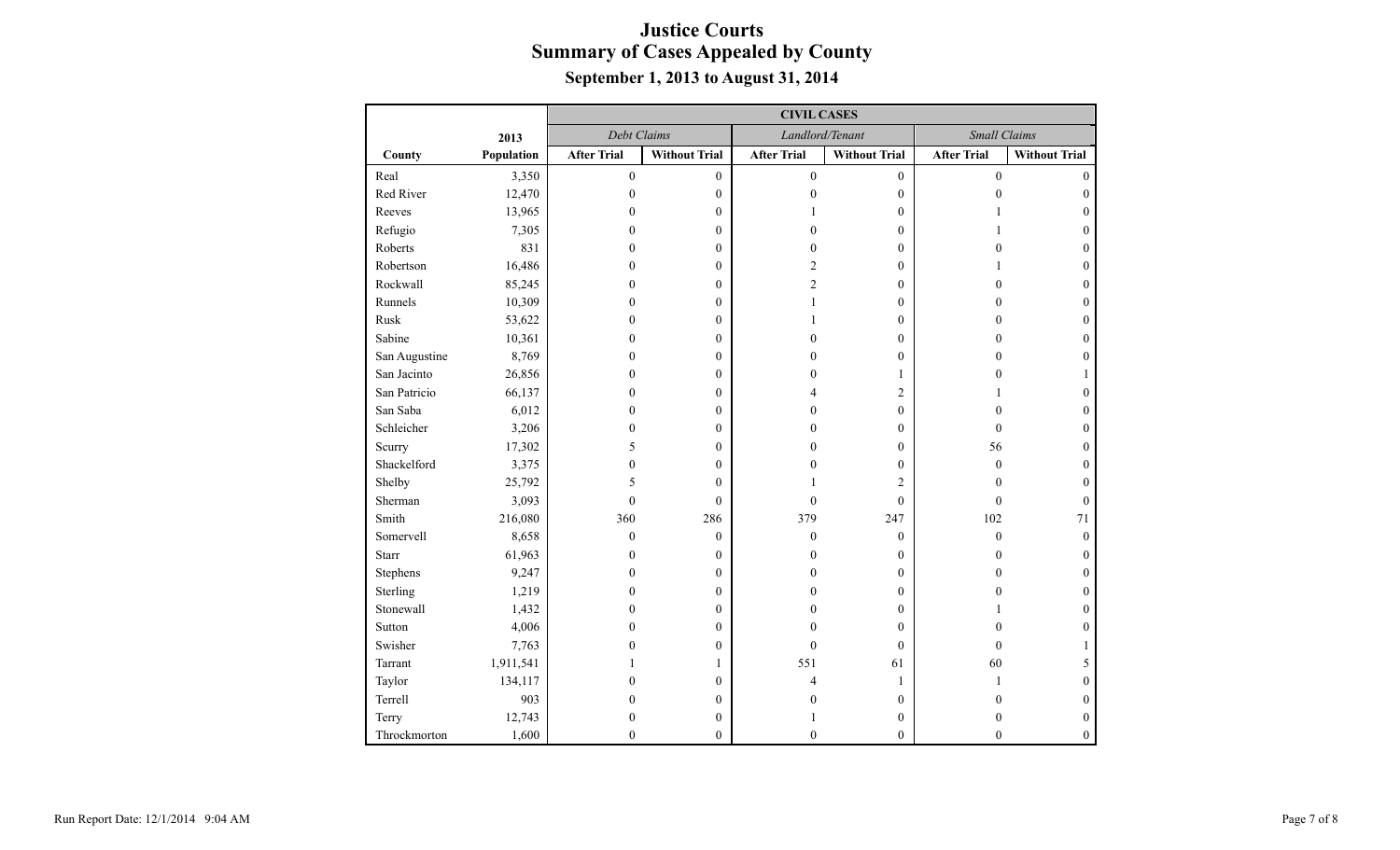|               |            | <b>CIVIL CASES</b> |                      |                    |                      |                     |                      |  |  |
|---------------|------------|--------------------|----------------------|--------------------|----------------------|---------------------|----------------------|--|--|
|               | 2013       | Debt Claims        |                      | Landlord/Tenant    |                      | <b>Small Claims</b> |                      |  |  |
| County        | Population | <b>After Trial</b> | <b>Without Trial</b> | <b>After Trial</b> | <b>Without Trial</b> | <b>After Trial</b>  | <b>Without Trial</b> |  |  |
| Real          | 3,350      | $\boldsymbol{0}$   | $\boldsymbol{0}$     | $\boldsymbol{0}$   | $\boldsymbol{0}$     | $\boldsymbol{0}$    | $\mathbf{0}$         |  |  |
| Red River     | 12,470     | $\mathbf{0}$       | $\boldsymbol{0}$     | $\boldsymbol{0}$   | $\overline{0}$       | $\theta$            | $\mathbf{0}$         |  |  |
| Reeves        | 13,965     | 0                  | $\boldsymbol{0}$     |                    | $\overline{0}$       |                     | $\overline{0}$       |  |  |
| Refugio       | 7,305      | 0                  | $\boldsymbol{0}$     | $\boldsymbol{0}$   | $\overline{0}$       |                     | $\overline{0}$       |  |  |
| Roberts       | 831        | 0                  | $\boldsymbol{0}$     | $\boldsymbol{0}$   | $\theta$             | 0                   | $\overline{0}$       |  |  |
| Robertson     | 16,486     | $\Omega$           | $\boldsymbol{0}$     | $\overline{c}$     | $\theta$             |                     | $\overline{0}$       |  |  |
| Rockwall      | 85,245     | $\theta$           | $\boldsymbol{0}$     | $\overline{c}$     | $\mathbf{0}$         | 0                   | $\overline{0}$       |  |  |
| Runnels       | 10,309     | $\theta$           | $\boldsymbol{0}$     | $\mathbf{1}$       | $\theta$             | 0                   | $\mathbf{0}$         |  |  |
| Rusk          | 53,622     | 0                  | $\boldsymbol{0}$     | 1                  | $\theta$             | 0                   | $\overline{0}$       |  |  |
| Sabine        | 10,361     | $\theta$           | $\boldsymbol{0}$     | $\mathbf{0}$       | $\mathbf{0}$         | O                   | $\overline{0}$       |  |  |
| San Augustine | 8,769      | $\theta$           | $\boldsymbol{0}$     | $\theta$           | $\theta$             | 0                   | $\overline{0}$       |  |  |
| San Jacinto   | 26,856     | $\theta$           | $\boldsymbol{0}$     | $\theta$           | 1                    | 0                   |                      |  |  |
| San Patricio  | 66,137     | $\mathbf{0}$       | $\boldsymbol{0}$     | 4                  | $\overline{c}$       |                     | $\mathbf{0}$         |  |  |
| San Saba      | 6,012      | $\mathbf{0}$       | $\boldsymbol{0}$     | $\mathbf{0}$       | $\mathbf{0}$         | $\theta$            | $\overline{0}$       |  |  |
| Schleicher    | 3,206      | 0                  | $\boldsymbol{0}$     | $\overline{0}$     | $\mathbf{0}$         | $\theta$            | $\boldsymbol{0}$     |  |  |
| Scurry        | 17,302     | 5                  | $\boldsymbol{0}$     | $\mathbf{0}$       | $\mathbf{0}$         | 56                  | $\boldsymbol{0}$     |  |  |
| Shackelford   | 3,375      | $\mathbf{0}$       | $\boldsymbol{0}$     | $\mathbf{0}$       | $\mathbf{0}$         | $\mathbf{0}$        | $\overline{0}$       |  |  |
| Shelby        | 25,792     | 5                  | $\mathbf{0}$         | 1                  | $\overline{2}$       | $\theta$            | $\overline{0}$       |  |  |
| Sherman       | 3,093      | $\mathbf{0}$       | $\mathbf{0}$         | $\mathbf{0}$       | $\overline{0}$       | $\mathbf{0}$        | $\mathbf{0}$         |  |  |
| Smith         | 216,080    | 360                | 286                  | 379                | 247                  | 102                 | 71                   |  |  |
| Somervell     | 8,658      | $\overline{0}$     | $\boldsymbol{0}$     | $\mathbf{0}$       | $\overline{0}$       | $\theta$            | $\mathbf{0}$         |  |  |
| Starr         | 61,963     | $\mathbf{0}$       | $\boldsymbol{0}$     | $\boldsymbol{0}$   | $\overline{0}$       | 0                   | $\mathbf{0}$         |  |  |
| Stephens      | 9,247      | $\theta$           | $\boldsymbol{0}$     | $\mathbf{0}$       | $\theta$             | $\theta$            | $\overline{0}$       |  |  |
| Sterling      | 1,219      | $\theta$           | $\boldsymbol{0}$     | $\theta$           | $\theta$             | 0                   | $\overline{0}$       |  |  |
| Stonewall     | 1,432      | $\theta$           | $\boldsymbol{0}$     | $\mathbf{0}$       | $\mathbf{0}$         |                     | $\overline{0}$       |  |  |
| Sutton        | 4,006      | $\theta$           | $\boldsymbol{0}$     | $\mathbf{0}$       | $\theta$             | 0                   | $\overline{0}$       |  |  |
| Swisher       | 7,763      | 0                  | $\boldsymbol{0}$     | $\mathbf{0}$       | $\mathbf{0}$         | $\overline{0}$      | 1                    |  |  |
| Tarrant       | 1,911,541  | 1                  | 1                    | 551                | 61                   | 60                  | 5                    |  |  |
| Taylor        | 134,117    | 0                  | $\boldsymbol{0}$     | 4                  | 1                    | 1                   | $\overline{0}$       |  |  |
| Terrell       | 903        | $\Omega$           | $\boldsymbol{0}$     | $\mathbf{0}$       | $\mathbf{0}$         | $\theta$            | $\overline{0}$       |  |  |
| Terry         | 12,743     | $\theta$           | $\boldsymbol{0}$     | 1                  | $\mathbf{0}$         | $\overline{0}$      | $\overline{0}$       |  |  |
| Throckmorton  | 1,600      | $\theta$           | $\overline{0}$       | $\mathbf{0}$       | $\theta$             | $\theta$            | $\overline{0}$       |  |  |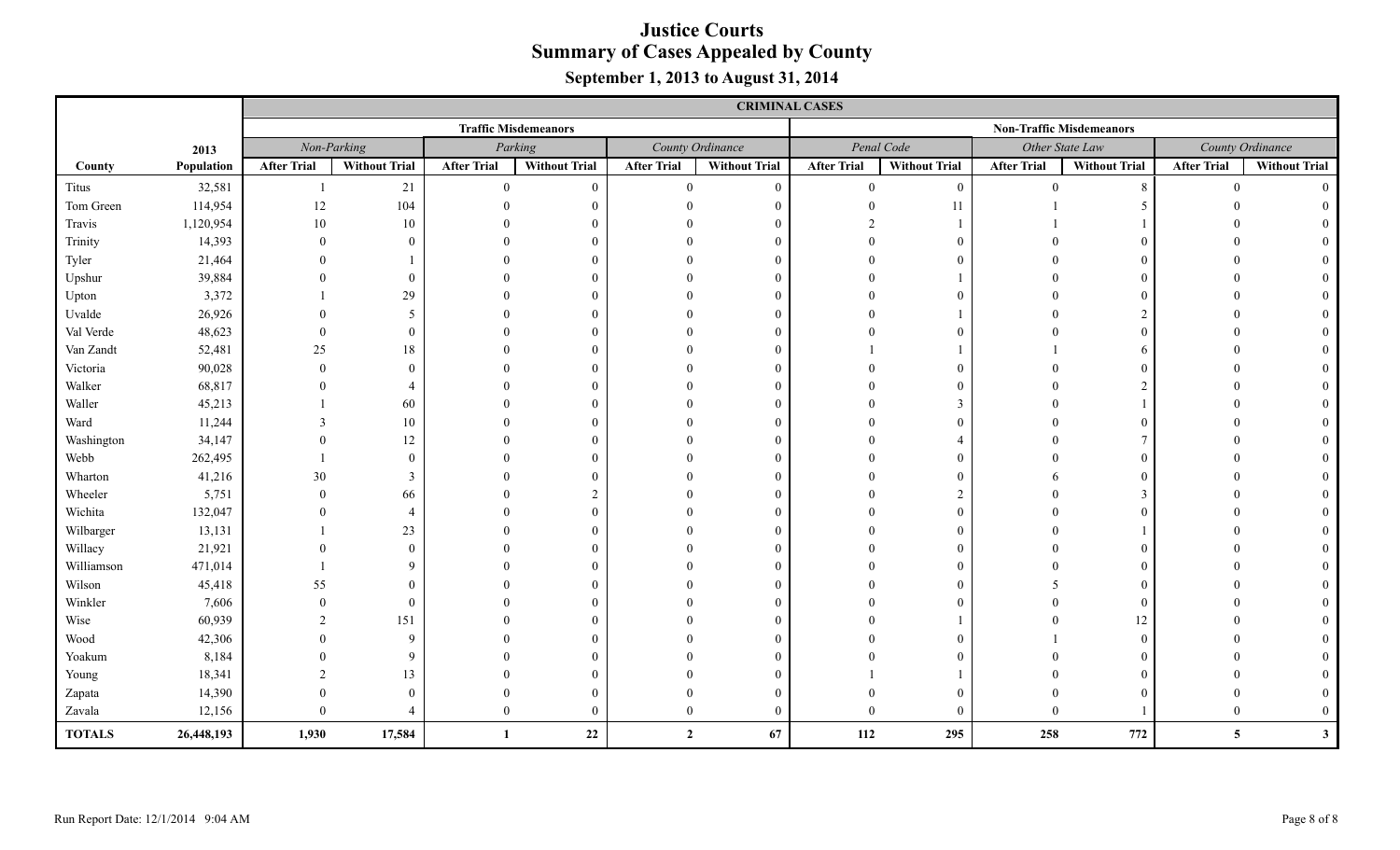|               |            |                             |                      |                    |                      |                    |                      |                                 | <b>CRIMINAL CASES</b> |                    |                      |                    |                      |  |
|---------------|------------|-----------------------------|----------------------|--------------------|----------------------|--------------------|----------------------|---------------------------------|-----------------------|--------------------|----------------------|--------------------|----------------------|--|
|               |            | <b>Traffic Misdemeanors</b> |                      |                    |                      |                    |                      | <b>Non-Traffic Misdemeanors</b> |                       |                    |                      |                    |                      |  |
|               | 2013       | Non-Parking                 |                      | Parking            |                      | County Ordinance   |                      | Penal Code                      |                       | Other State Law    |                      | County Ordinance   |                      |  |
| County        | Population | <b>After Trial</b>          | <b>Without Trial</b> | <b>After Trial</b> | <b>Without Trial</b> | <b>After Trial</b> | <b>Without Trial</b> | <b>After Trial</b>              | <b>Without Trial</b>  | <b>After Trial</b> | <b>Without Trial</b> | <b>After Trial</b> | <b>Without Trial</b> |  |
| Titus         | 32,581     | $\mathbf{1}$                | $21\,$               | $\theta$           | $\mathbf{0}$         | $\theta$           | $\mathbf{0}$         | $\Omega$                        | $\mathbf{0}$          | $\Omega$           | 8                    | $\theta$           |                      |  |
| Tom Green     | 114,954    | 12                          | 104                  |                    | $\Omega$             |                    | $\theta$             |                                 | 11                    |                    |                      |                    |                      |  |
| Travis        | 1,120,954  | 10                          | 10                   |                    | $\Omega$             |                    | $\mathbf{0}$         |                                 |                       |                    |                      |                    |                      |  |
| Trinity       | 14,393     | $\Omega$                    | $\overline{0}$       |                    | $\Omega$             |                    | $\mathbf{0}$         |                                 |                       |                    |                      |                    |                      |  |
| Tyler         | 21,464     |                             |                      |                    | $\Omega$             |                    | $\mathbf{0}$         |                                 |                       |                    |                      |                    |                      |  |
| Upshur        | 39,884     |                             | $\Omega$             |                    | $\Omega$             |                    | $\mathbf{0}$         |                                 |                       |                    |                      |                    |                      |  |
| Upton         | 3,372      |                             | 29                   |                    |                      |                    | $\mathbf{0}$         |                                 |                       |                    |                      |                    |                      |  |
| Uvalde        | 26,926     |                             | -5                   |                    |                      |                    | $\mathbf{0}$         |                                 |                       |                    |                      |                    |                      |  |
| Val Verde     | 48,623     |                             | $\Omega$             |                    | 0                    |                    | $\mathbf{0}$         |                                 |                       |                    |                      |                    |                      |  |
| Van Zandt     | 52,481     | 25                          | 18                   |                    | $\Omega$             |                    | $\theta$             |                                 |                       |                    |                      |                    |                      |  |
| Victoria      | 90,028     | $\Omega$                    | $\Omega$             |                    | $\Omega$             |                    | $\theta$             |                                 |                       |                    |                      |                    |                      |  |
| Walker        | 68,817     |                             |                      |                    | $\Omega$             |                    | $\mathbf{0}$         |                                 |                       |                    |                      |                    |                      |  |
| Waller        | 45,213     |                             | 60                   |                    | $\Omega$             |                    | $\theta$             |                                 |                       |                    |                      |                    |                      |  |
| Ward          | 11,244     |                             | 10                   |                    | $\Omega$             |                    | $\mathbf{0}$         |                                 |                       |                    |                      |                    |                      |  |
| Washington    | 34,147     |                             | 12                   |                    | $\Omega$             |                    | $\mathbf{0}$         |                                 |                       |                    |                      |                    |                      |  |
| Webb          | 262,495    |                             | $\Omega$             |                    | $\Omega$             |                    | $\mathbf{0}$         |                                 |                       |                    |                      |                    |                      |  |
| Wharton       | 41,216     | 30                          | 3                    |                    | $\Omega$             |                    | $\mathbf{0}$         |                                 |                       |                    |                      |                    |                      |  |
| Wheeler       | 5,751      | $\Omega$                    | 66                   |                    | $\overline{2}$       |                    | $\mathbf{0}$         |                                 |                       |                    | 3                    |                    |                      |  |
| Wichita       | 132,047    |                             | Δ                    |                    | $\Omega$             |                    | $\overline{0}$       |                                 |                       |                    |                      |                    |                      |  |
| Wilbarger     | 13,131     |                             | 23                   |                    | $\Omega$             |                    | $\overline{0}$       |                                 |                       |                    |                      |                    |                      |  |
| Willacy       | 21,921     |                             | $\Omega$             |                    | $\Omega$             |                    | $\mathbf{0}$         |                                 |                       |                    | $\Omega$             |                    |                      |  |
| Williamson    | 471,014    |                             | $\mathbf{Q}$         |                    | $\Omega$             |                    | $\theta$             |                                 |                       |                    | $\Omega$             |                    |                      |  |
| Wilson        | 45,418     | 55                          |                      |                    | $\Omega$             |                    | $\mathbf{0}$         |                                 |                       |                    |                      |                    |                      |  |
| Winkler       | 7,606      | $\theta$                    | $\Omega$             |                    | $\Omega$             |                    | $\mathbf{0}$         |                                 |                       |                    |                      |                    |                      |  |
| Wise          | 60,939     | $\mathcal{D}_{\mathcal{L}}$ | 151                  |                    | $\Omega$             |                    | $\theta$             |                                 |                       |                    | 12                   |                    |                      |  |
| Wood          | 42,306     |                             | 9                    |                    | $\Omega$             |                    | $\mathbf{0}$         |                                 |                       |                    |                      |                    |                      |  |
| Yoakum        | 8,184      |                             | $\mathbf Q$          |                    | $\Omega$             |                    | $\mathbf{0}$         |                                 |                       |                    |                      |                    |                      |  |
| Young         | 18,341     | $\mathcal{L}$               | 13                   |                    | $\Omega$             |                    | $\mathbf{0}$         |                                 |                       |                    |                      |                    |                      |  |
| Zapata        | 14,390     |                             | $\Omega$             |                    | $\Omega$             |                    | $\mathbf{0}$         |                                 |                       |                    |                      |                    |                      |  |
| Zavala        | 12,156     | $\Omega$                    |                      | $\overline{0}$     | $\theta$             |                    | $\mathbf{0}$         |                                 | $\Omega$              | $\Omega$           |                      |                    |                      |  |
| <b>TOTALS</b> | 26,448,193 | 1,930                       | 17,584               | $\mathbf{1}$       | 22                   | $\overline{2}$     | 67                   | 112                             | 295                   | 258                | 772                  | $\overline{5}$     |                      |  |